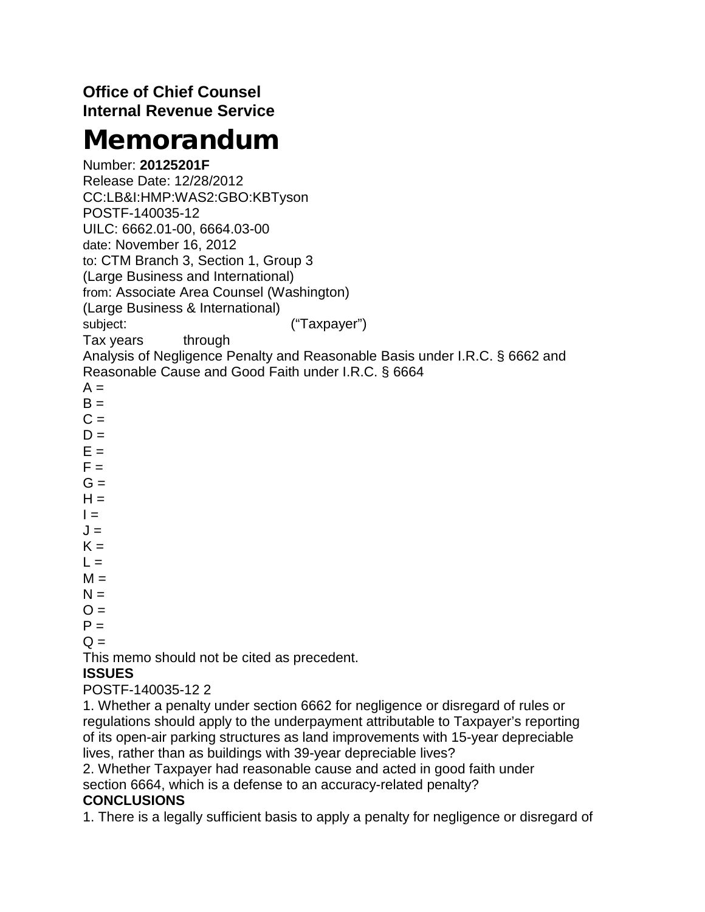## **Office of Chief Counsel Internal Revenue Service**

# Memorandum

Number: **20125201F** Release Date: 12/28/2012 CC:LB&I:HMP:WAS2:GBO:KBTyson POSTF-140035-12 UILC: 6662.01-00, 6664.03-00 date: November 16, 2012 to: CTM Branch 3, Section 1, Group 3 (Large Business and International) from: Associate Area Counsel (Washington) (Large Business & International) subject:  $($ "Taxpayer") Tax years through Analysis of Negligence Penalty and Reasonable Basis under I.R.C. § 6662 and Reasonable Cause and Good Faith under I.R.C. § 6664  $A =$  $B =$  $C =$  $D =$ 

- $E =$
- $F =$
- $G =$  $H =$
- $I = -$
- $J =$
- $K =$
- $L =$
- $M =$
- $N =$
- $O =$
- $P =$

 $Q =$ 

This memo should not be cited as precedent.

## **ISSUES**

POSTF-140035-12 2

1. Whether a penalty under section 6662 for negligence or disregard of rules or regulations should apply to the underpayment attributable to Taxpayer's reporting of its open-air parking structures as land improvements with 15-year depreciable lives, rather than as buildings with 39-year depreciable lives?

2. Whether Taxpayer had reasonable cause and acted in good faith under section 6664, which is a defense to an accuracy-related penalty?

## **CONCLUSIONS**

1. There is a legally sufficient basis to apply a penalty for negligence or disregard of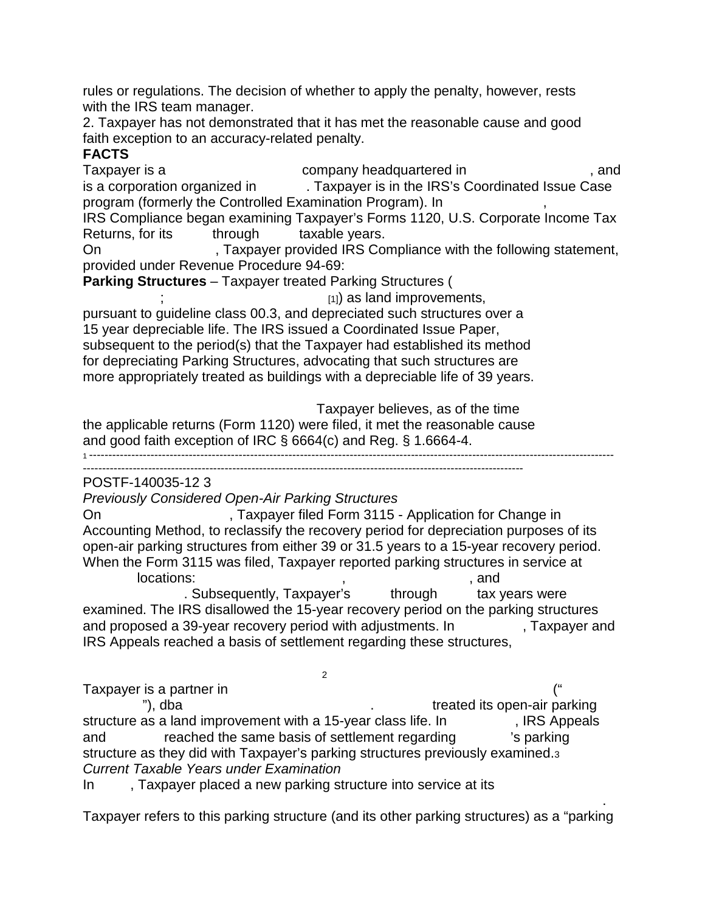rules or regulations. The decision of whether to apply the penalty, however, rests with the IRS team manager.

2. Taxpayer has not demonstrated that it has met the reasonable cause and good faith exception to an accuracy-related penalty.

## **FACTS**

Taxpayer is a read only keadquartered in the same state of the state of the state of the state of the state of the state of the state of the state of the state of the state of the state of the state of the state of the sta is a corporation organized in  $\blacksquare$  Taxpayer is in the IRS's Coordinated Issue Case program (formerly the Controlled Examination Program). In IRS Compliance began examining Taxpayer's Forms 1120, U.S. Corporate Income Tax Returns, for its through taxable years. On Faxpayer provided IRS Compliance with the following statement, provided under Revenue Procedure 94-69: **Parking Structures** – Taxpayer treated Parking Structures (  $_{[1]}$ ) as land improvements, pursuant to guideline class 00.3, and depreciated such structures over a 15 year depreciable life. The IRS issued a Coordinated Issue Paper, subsequent to the period(s) that the Taxpayer had established its method for depreciating Parking Structures, advocating that such structures are more appropriately treated as buildings with a depreciable life of 39 years.

Taxpayer believes, as of the time the applicable returns (Form 1120) were filed, it met the reasonable cause and good faith exception of IRC § 6664(c) and Reg. § 1.6664-4.

1 ----------------------------------------------------------------------------------------------------------------------------------------- -------------------------------------------------------------------------------------------------------------------

POSTF-140035-12 3

*Previously Considered Open-Air Parking Structures*

On ---------------------------, Taxpayer filed Form 3115 - Application for Change in Accounting Method, to reclassify the recovery period for depreciation purposes of its open-air parking structures from either 39 or 31.5 years to a 15-year recovery period. When the Form 3115 was filed, Taxpayer reported parking structures in service at

 $\blacksquare$  locations:  $\blacksquare$ ,  $\blacksquare$ . Subsequently, Taxpayer's through tax years were examined. The IRS disallowed the 15-year recovery period on the parking structures and proposed a 39-year recovery period with adjustments. In Faxpayer and IRS Appeals reached a basis of settlement regarding these structures,

 $-2$ Taxpayer is a partner in  $($ " -------------"), dba ----------------------------------------. ----------- treated its open-air parking structure as a land improvement with a 15-year class life. In Family RS Appeals and reached the same basis of settlement regarding is parking structure as they did with Taxpayer's parking structures previously examined.3 *Current Taxable Years under Examination*

In Faxpayer placed a new parking structure into service at its

 $--\frac{1}{2}$  , which is a set of the set of the set of the set of the set of the set of the set of the set of the set of the set of the set of the set of the set of the set of the set of the set of the set of the set of the Taxpayer refers to this parking structure (and its other parking structures) as a "parking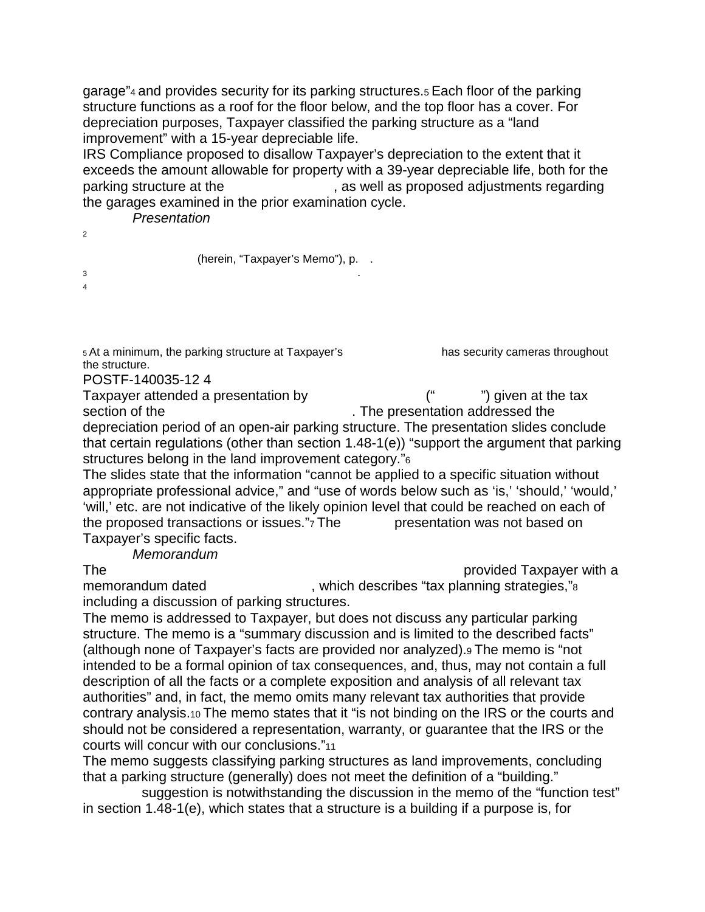garage"4 and provides security for its parking structures.5 Each floor of the parking structure functions as a roof for the floor below, and the top floor has a cover. For depreciation purposes, Taxpayer classified the parking structure as a "land improvement" with a 15-year depreciable life.

IRS Compliance proposed to disallow Taxpayer's depreciation to the extent that it exceeds the amount allowable for property with a 39-year depreciable life, both for the parking structure at the  $\qquad \qquad$ , as well as proposed adjustments regarding the garages examined in the prior examination cycle.

 $P$ *resentation* 

 $2$ 

(herein, "Taxpayer's Memo"), p. .  $3$ 

 $\overline{4}$ 

5 At a minimum, the parking structure at Taxpayer's has security cameras throughout the structure.

POSTF-140035-12 4

Taxpayer attended a presentation by  $\begin{pmatrix} 4 & 1 \end{pmatrix}$  aiven at the tax section of the  $\blacksquare$  . The presentation addressed the depreciation period of an open-air parking structure. The presentation slides conclude that certain regulations (other than section 1.48-1(e)) "support the argument that parking structures belong in the land improvement category."6

The slides state that the information "cannot be applied to a specific situation without appropriate professional advice," and "use of words below such as 'is,' 'should,' 'would,' 'will,' etc. are not indicative of the likely opinion level that could be reached on each of the proposed transactions or issues."7 The presentation was not based on Taxpayer's specific facts.

*---------- Memorandum*

The ---------------------------------------------------------------------------- provided Taxpayer with a

memorandum dated  $\blacksquare$ , which describes "tax planning strategies,"<sup>8</sup> including a discussion of parking structures.

The memo is addressed to Taxpayer, but does not discuss any particular parking structure. The memo is a "summary discussion and is limited to the described facts" (although none of Taxpayer's facts are provided nor analyzed).9 The memo is "not intended to be a formal opinion of tax consequences, and, thus, may not contain a full description of all the facts or a complete exposition and analysis of all relevant tax authorities" and, in fact, the memo omits many relevant tax authorities that provide contrary analysis.10 The memo states that it "is not binding on the IRS or the courts and should not be considered a representation, warranty, or guarantee that the IRS or the courts will concur with our conclusions."11

The memo suggests classifying parking structures as land improvements, concluding that a parking structure (generally) does not meet the definition of a "building."

suggestion is notwithstanding the discussion in the memo of the "function test" in section 1.48-1(e), which states that a structure is a building if a purpose is, for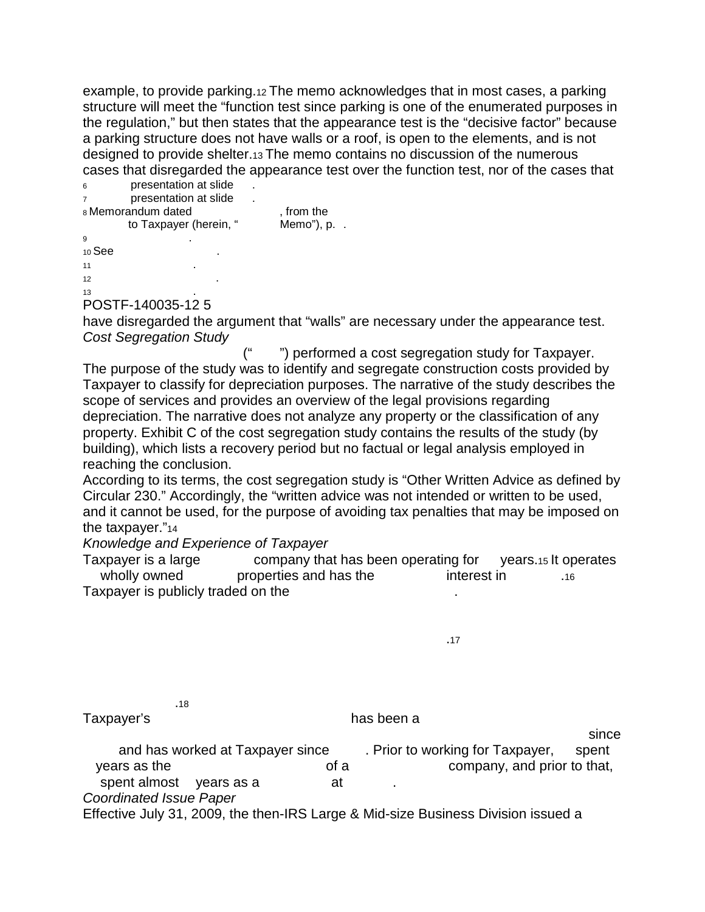example, to provide parking.12 The memo acknowledges that in most cases, a parking structure will meet the "function test since parking is one of the enumerated purposes in the regulation," but then states that the appearance test is the "decisive factor" because a parking structure does not have walls or a roof, is open to the elements, and is not designed to provide shelter.13 The memo contains no discussion of the numerous cases that disregarded the appearance test over the function test, nor of the cases that

|                    | added that diding data the dippediation test of or the failure tool, her of the caped that |          |                |  |  |
|--------------------|--------------------------------------------------------------------------------------------|----------|----------------|--|--|
| 6                  | presentation at slide                                                                      |          |                |  |  |
| $\overline{7}$     | presentation at slide                                                                      |          |                |  |  |
| 8 Memorandum dated |                                                                                            | from the |                |  |  |
|                    | to Taxpayer (herein, "                                                                     |          | Memo"), $p.$ . |  |  |
| 9                  |                                                                                            |          |                |  |  |
| $10$ See           |                                                                                            |          |                |  |  |
| 11                 |                                                                                            |          |                |  |  |

 $12$  $13$   $\qquad \qquad$ 

POSTF-140035-12 5

have disregarded the argument that "walls" are necessary under the appearance test. *Cost Segregation Study*

") performed a cost segregation study for Taxpayer. The purpose of the study was to identify and segregate construction costs provided by Taxpayer to classify for depreciation purposes. The narrative of the study describes the scope of services and provides an overview of the legal provisions regarding depreciation. The narrative does not analyze any property or the classification of any property. Exhibit C of the cost segregation study contains the results of the study (by building), which lists a recovery period but no factual or legal analysis employed in reaching the conclusion.

According to its terms, the cost segregation study is "Other Written Advice as defined by Circular 230." Accordingly, the "written advice was not intended or written to be used, and it cannot be used, for the purpose of avoiding tax penalties that may be imposed on the taxpayer."14

*Knowledge and Experience of Taxpayer*

Taxpayer is a large  $\sim$  company that has been operating for years.15 It operates wholly owned properties and has the interest in  $\frac{1}{16}$ Taxpayer is publicly traded on the

 $-18$ 

Taxpayer's extended to the state of the has been a -----------------------------

 $-1.4$   $-1.4$   $-1.4$   $-1.4$   $-1.4$   $-1.4$   $-1.4$   $-1.4$   $-1.4$   $-1.4$   $-1.4$   $-1.4$   $-1.4$   $-1.4$   $-1.4$   $-1.4$   $-1.4$   $-1.4$   $-1.4$   $-1.4$   $-1.4$   $-1.4$   $-1.4$   $-1.4$   $-1.4$   $-1.4$   $-1.4$   $-1.4$   $-1.4$   $-1.4$   $-1.4$   $-1.$ and has worked at Taxpayer since . Prior to working for Taxpayer, spent years as the  $\overline{\phantom{a}}$  of a  $\overline{\phantom{a}}$  company, and prior to that, spent almost vears as a sector at *Coordinated Issue Paper* Effective July 31, 2009, the then-IRS Large & Mid-size Business Division issued a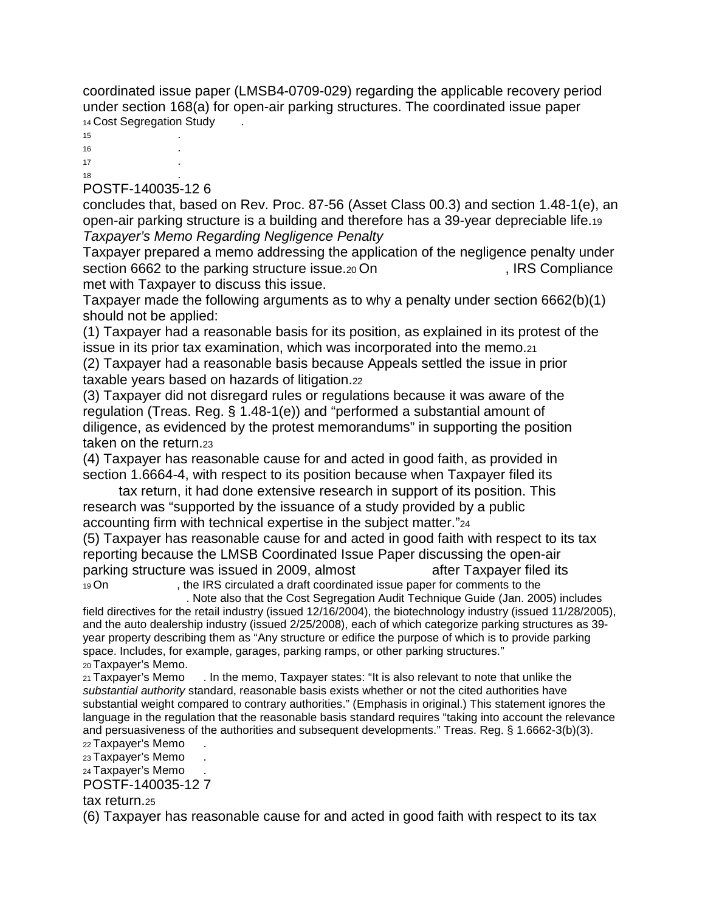coordinated issue paper (LMSB4-0709-029) regarding the applicable recovery period under section 168(a) for open-air parking structures. The coordinated issue paper 14 Cost Segregation Study

 $15$  .  $16$  .  $17$  .  $18$   $\qquad \qquad$ 

#### POSTF-140035-12 6

concludes that, based on Rev. Proc. 87-56 (Asset Class 00.3) and section 1.48-1(e), an open-air parking structure is a building and therefore has a 39-year depreciable life.19 *Taxpayer's Memo Regarding Negligence Penalty*

Taxpayer prepared a memo addressing the application of the negligence penalty under section 6662 to the parking structure issue.<sub>20</sub> On Fig. 1. IRS Compliance met with Taxpayer to discuss this issue.

Taxpayer made the following arguments as to why a penalty under section 6662(b)(1) should not be applied:

(1) Taxpayer had a reasonable basis for its position, as explained in its protest of the issue in its prior tax examination, which was incorporated into the memo.21

(2) Taxpayer had a reasonable basis because Appeals settled the issue in prior taxable years based on hazards of litigation.22

(3) Taxpayer did not disregard rules or regulations because it was aware of the regulation (Treas. Reg. § 1.48-1(e)) and "performed a substantial amount of diligence, as evidenced by the protest memorandums" in supporting the position taken on the return.23

(4) Taxpayer has reasonable cause for and acted in good faith, as provided in section 1.6664-4, with respect to its position because when Taxpayer filed its

tax return, it had done extensive research in support of its position. This research was "supported by the issuance of a study provided by a public accounting firm with technical expertise in the subject matter."24

(5) Taxpayer has reasonable cause for and acted in good faith with respect to its tax reporting because the LMSB Coordinated Issue Paper discussing the open-air parking structure was issued in 2009, almost after Taxpayer filed its 19 On -----------------, the IRS circulated a draft coordinated issue paper for comments to the -------------------

. Note also that the Cost Segregation Audit Technique Guide (Jan. 2005) includes

field directives for the retail industry (issued 12/16/2004), the biotechnology industry (issued 11/28/2005), and the auto dealership industry (issued 2/25/2008), each of which categorize parking structures as 39 year property describing them as "Any structure or edifice the purpose of which is to provide parking space. Includes, for example, garages, parking ramps, or other parking structures."

20 Taxpayer's Memo.<br>21 Taxpayer's Memo . In the memo, Taxpayer states: "It is also relevant to note that unlike the *substantial authority* standard, reasonable basis exists whether or not the cited authorities have substantial weight compared to contrary authorities." (Emphasis in original.) This statement ignores the language in the regulation that the reasonable basis standard requires "taking into account the relevance and persuasiveness of the authorities and subsequent developments." Treas. Reg. § 1.6662-3(b)(3).

22 Taxpayer's Memo

23 Taxpayer's Memo

24 Taxpayer's Memo

POSTF-140035-12 7

tax return.25

(6) Taxpayer has reasonable cause for and acted in good faith with respect to its tax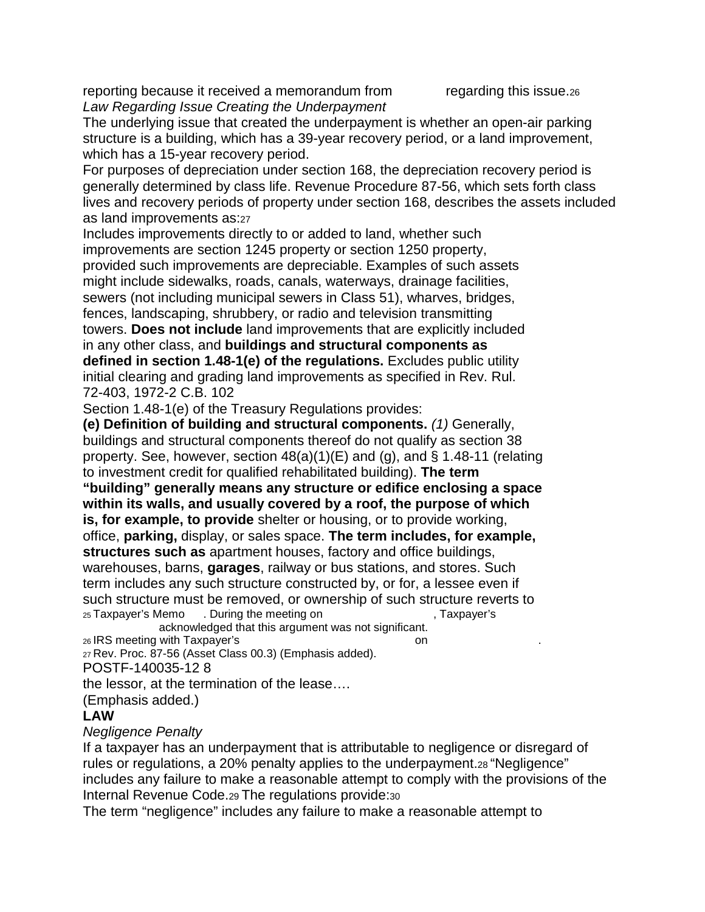reporting because it received a memorandum from  $\qquad$  regarding this issue.26 *Law Regarding Issue Creating the Underpayment*

The underlying issue that created the underpayment is whether an open-air parking structure is a building, which has a 39-year recovery period, or a land improvement, which has a 15-year recovery period.

For purposes of depreciation under section 168, the depreciation recovery period is generally determined by class life. Revenue Procedure 87-56, which sets forth class lives and recovery periods of property under section 168, describes the assets included as land improvements as:27

Includes improvements directly to or added to land, whether such improvements are section 1245 property or section 1250 property, provided such improvements are depreciable. Examples of such assets might include sidewalks, roads, canals, waterways, drainage facilities, sewers (not including municipal sewers in Class 51), wharves, bridges, fences, landscaping, shrubbery, or radio and television transmitting towers. **Does not include** land improvements that are explicitly included in any other class, and **buildings and structural components as defined in section 1.48-1(e) of the regulations.** Excludes public utility initial clearing and grading land improvements as specified in Rev. Rul. 72-403, 1972-2 C.B. 102

Section 1.48-1(e) of the Treasury Regulations provides:

**(e) Definition of building and structural components.** *(1)* Generally, buildings and structural components thereof do not qualify as section 38 property. See, however, section 48(a)(1)(E) and (g), and § 1.48-11 (relating to investment credit for qualified rehabilitated building). **The term**

**"building" generally means any structure or edifice enclosing a space within its walls, and usually covered by a roof, the purpose of which is, for example, to provide** shelter or housing, or to provide working, office, **parking,** display, or sales space. **The term includes, for example, structures such as** apartment houses, factory and office buildings, warehouses, barns, **garages**, railway or bus stations, and stores. Such term includes any such structure constructed by, or for, a lessee even if such structure must be removed, or ownership of such structure reverts to <br>25 Taxpayer's Memo . During the meeting on . Taxpayer's 25 Taxpayer's Memo . During the meeting on

acknowledged that this argument was not significant. 26 IRS meeting with Taxpayer's on

27 Rev. Proc. 87-56 (Asset Class 00.3) (Emphasis added).

POSTF-140035-12 8

the lessor, at the termination of the lease….

(Emphasis added.)

### **LAW**

### *Negligence Penalty*

If a taxpayer has an underpayment that is attributable to negligence or disregard of rules or regulations, a 20% penalty applies to the underpayment.28 "Negligence" includes any failure to make a reasonable attempt to comply with the provisions of the Internal Revenue Code.29 The regulations provide:30

The term "negligence" includes any failure to make a reasonable attempt to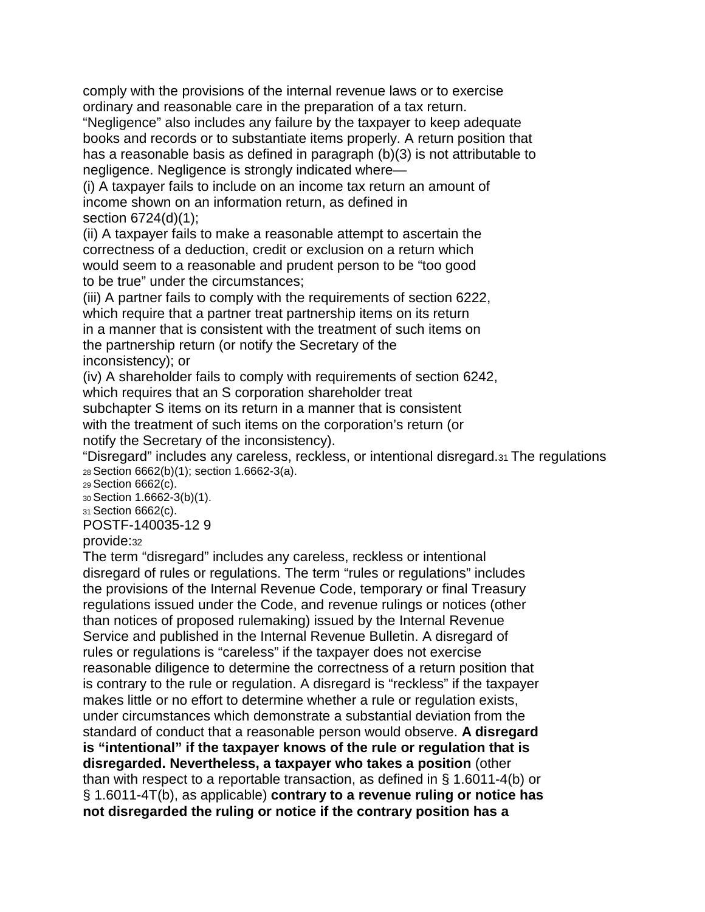comply with the provisions of the internal revenue laws or to exercise ordinary and reasonable care in the preparation of a tax return.

"Negligence" also includes any failure by the taxpayer to keep adequate books and records or to substantiate items properly. A return position that has a reasonable basis as defined in paragraph (b)(3) is not attributable to negligence. Negligence is strongly indicated where—

(i) A taxpayer fails to include on an income tax return an amount of income shown on an information return, as defined in section 6724(d)(1);

(ii) A taxpayer fails to make a reasonable attempt to ascertain the correctness of a deduction, credit or exclusion on a return which would seem to a reasonable and prudent person to be "too good to be true" under the circumstances;

(iii) A partner fails to comply with the requirements of section 6222, which require that a partner treat partnership items on its return in a manner that is consistent with the treatment of such items on the partnership return (or notify the Secretary of the inconsistency); or

(iv) A shareholder fails to comply with requirements of section 6242, which requires that an S corporation shareholder treat

subchapter S items on its return in a manner that is consistent with the treatment of such items on the corporation's return (or notify the Secretary of the inconsistency).

"Disregard" includes any careless, reckless, or intentional disregard.31 The regulations 28 Section 6662(b)(1); section 1.6662-3(a).

29 Section 6662(c).

30 Section 1.6662-3(b)(1).

31 Section 6662(c).

POSTF-140035-12 9

provide:32

The term "disregard" includes any careless, reckless or intentional disregard of rules or regulations. The term "rules or regulations" includes the provisions of the Internal Revenue Code, temporary or final Treasury regulations issued under the Code, and revenue rulings or notices (other than notices of proposed rulemaking) issued by the Internal Revenue Service and published in the Internal Revenue Bulletin. A disregard of rules or regulations is "careless" if the taxpayer does not exercise reasonable diligence to determine the correctness of a return position that is contrary to the rule or regulation. A disregard is "reckless" if the taxpayer makes little or no effort to determine whether a rule or regulation exists, under circumstances which demonstrate a substantial deviation from the standard of conduct that a reasonable person would observe. **A disregard is "intentional" if the taxpayer knows of the rule or regulation that is disregarded. Nevertheless, a taxpayer who takes a position** (other than with respect to a reportable transaction, as defined in § 1.6011-4(b) or § 1.6011-4T(b), as applicable) **contrary to a revenue ruling or notice has not disregarded the ruling or notice if the contrary position has a**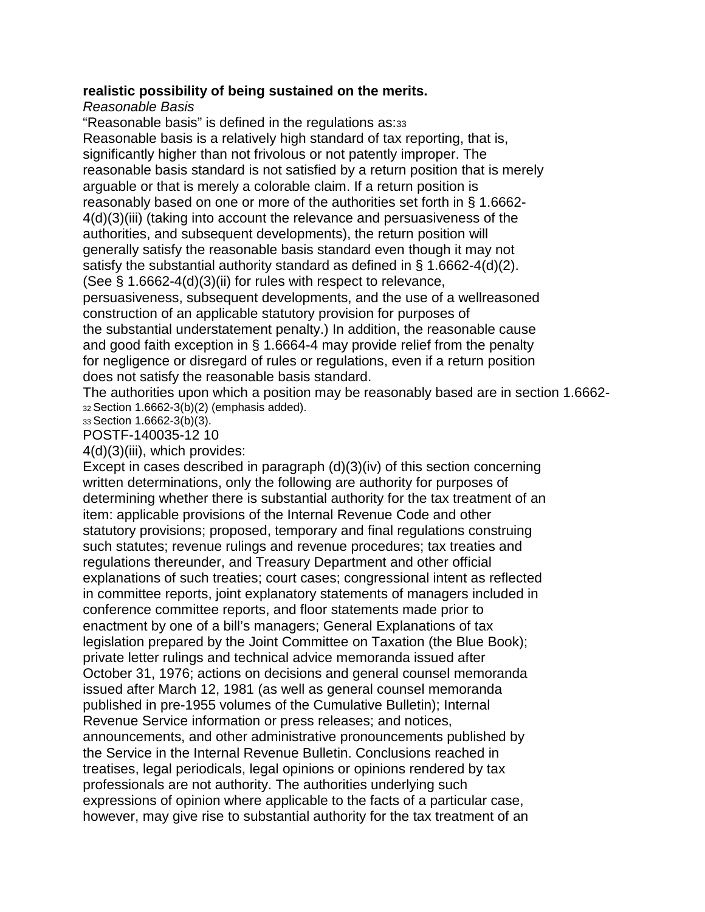#### **realistic possibility of being sustained on the merits.**

*Reasonable Basis*

"Reasonable basis" is defined in the regulations as:33 Reasonable basis is a relatively high standard of tax reporting, that is, significantly higher than not frivolous or not patently improper. The reasonable basis standard is not satisfied by a return position that is merely arguable or that is merely a colorable claim. If a return position is reasonably based on one or more of the authorities set forth in § 1.6662- 4(d)(3)(iii) (taking into account the relevance and persuasiveness of the authorities, and subsequent developments), the return position will generally satisfy the reasonable basis standard even though it may not satisfy the substantial authority standard as defined in § 1.6662-4(d)(2). (See § 1.6662-4(d)(3)(ii) for rules with respect to relevance, persuasiveness, subsequent developments, and the use of a wellreasoned construction of an applicable statutory provision for purposes of the substantial understatement penalty.) In addition, the reasonable cause and good faith exception in § 1.6664-4 may provide relief from the penalty for negligence or disregard of rules or regulations, even if a return position does not satisfy the reasonable basis standard.

The authorities upon which a position may be reasonably based are in section 1.6662-  $32$  Section 1.6662-3(b)(2) (emphasis added).

33 Section 1.6662-3(b)(3). POSTF-140035-12 10

4(d)(3)(iii), which provides:

Except in cases described in paragraph (d)(3)(iv) of this section concerning written determinations, only the following are authority for purposes of determining whether there is substantial authority for the tax treatment of an item: applicable provisions of the Internal Revenue Code and other statutory provisions; proposed, temporary and final regulations construing such statutes; revenue rulings and revenue procedures; tax treaties and regulations thereunder, and Treasury Department and other official explanations of such treaties; court cases; congressional intent as reflected in committee reports, joint explanatory statements of managers included in conference committee reports, and floor statements made prior to enactment by one of a bill's managers; General Explanations of tax legislation prepared by the Joint Committee on Taxation (the Blue Book); private letter rulings and technical advice memoranda issued after October 31, 1976; actions on decisions and general counsel memoranda issued after March 12, 1981 (as well as general counsel memoranda published in pre-1955 volumes of the Cumulative Bulletin); Internal Revenue Service information or press releases; and notices, announcements, and other administrative pronouncements published by the Service in the Internal Revenue Bulletin. Conclusions reached in treatises, legal periodicals, legal opinions or opinions rendered by tax professionals are not authority. The authorities underlying such expressions of opinion where applicable to the facts of a particular case, however, may give rise to substantial authority for the tax treatment of an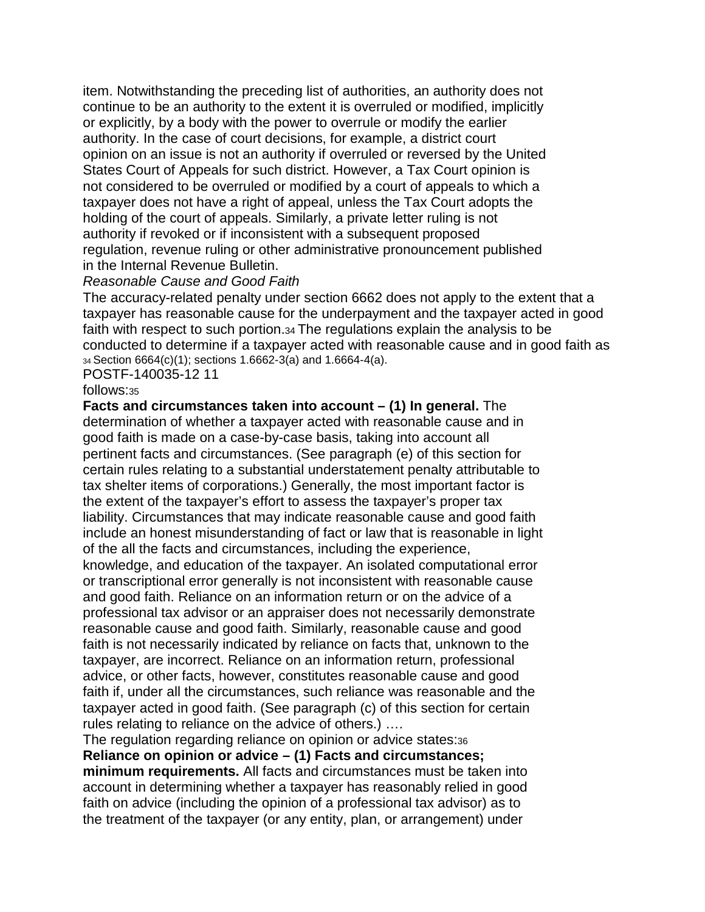item. Notwithstanding the preceding list of authorities, an authority does not continue to be an authority to the extent it is overruled or modified, implicitly or explicitly, by a body with the power to overrule or modify the earlier authority. In the case of court decisions, for example, a district court opinion on an issue is not an authority if overruled or reversed by the United States Court of Appeals for such district. However, a Tax Court opinion is not considered to be overruled or modified by a court of appeals to which a taxpayer does not have a right of appeal, unless the Tax Court adopts the holding of the court of appeals. Similarly, a private letter ruling is not authority if revoked or if inconsistent with a subsequent proposed regulation, revenue ruling or other administrative pronouncement published in the Internal Revenue Bulletin.

#### *Reasonable Cause and Good Faith*

The accuracy-related penalty under section 6662 does not apply to the extent that a taxpayer has reasonable cause for the underpayment and the taxpayer acted in good faith with respect to such portion.34 The regulations explain the analysis to be conducted to determine if a taxpayer acted with reasonable cause and in good faith as 34 Section 6664(c)(1); sections 1.6662-3(a) and 1.6664-4(a).

POSTF-140035-12 11

#### follows:35

**Facts and circumstances taken into account – (1) In general.** The determination of whether a taxpayer acted with reasonable cause and in good faith is made on a case-by-case basis, taking into account all pertinent facts and circumstances. (See paragraph (e) of this section for certain rules relating to a substantial understatement penalty attributable to tax shelter items of corporations.) Generally, the most important factor is the extent of the taxpayer's effort to assess the taxpayer's proper tax liability. Circumstances that may indicate reasonable cause and good faith include an honest misunderstanding of fact or law that is reasonable in light of the all the facts and circumstances, including the experience, knowledge, and education of the taxpayer. An isolated computational error or transcriptional error generally is not inconsistent with reasonable cause and good faith. Reliance on an information return or on the advice of a professional tax advisor or an appraiser does not necessarily demonstrate reasonable cause and good faith. Similarly, reasonable cause and good faith is not necessarily indicated by reliance on facts that, unknown to the taxpayer, are incorrect. Reliance on an information return, professional advice, or other facts, however, constitutes reasonable cause and good faith if, under all the circumstances, such reliance was reasonable and the taxpayer acted in good faith. (See paragraph (c) of this section for certain rules relating to reliance on the advice of others.) ….

The regulation regarding reliance on opinion or advice states:36 **Reliance on opinion or advice – (1) Facts and circumstances; minimum requirements.** All facts and circumstances must be taken into account in determining whether a taxpayer has reasonably relied in good faith on advice (including the opinion of a professional tax advisor) as to the treatment of the taxpayer (or any entity, plan, or arrangement) under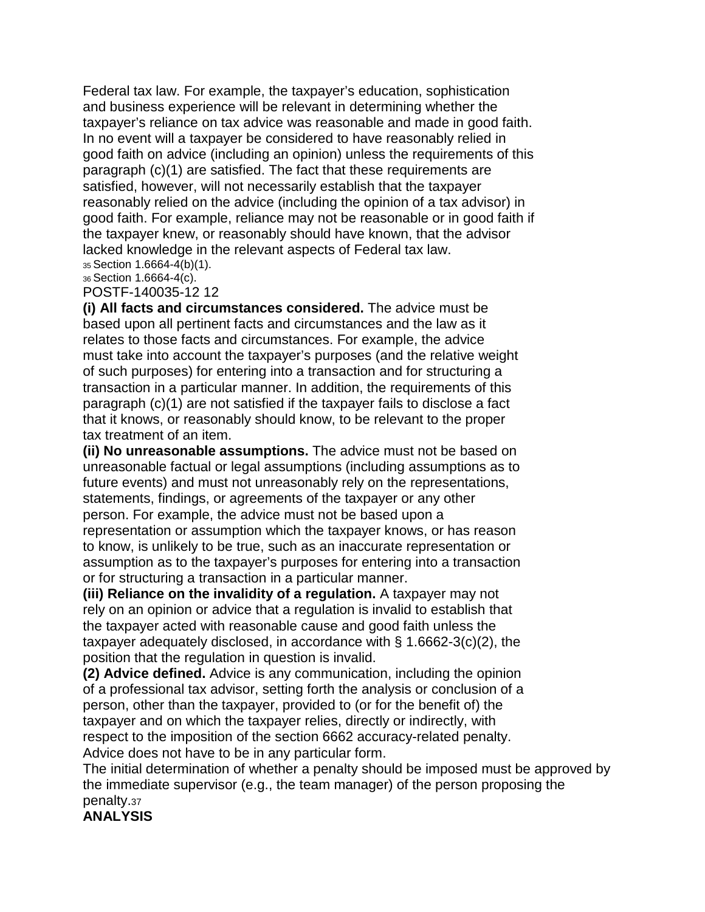Federal tax law. For example, the taxpayer's education, sophistication and business experience will be relevant in determining whether the taxpayer's reliance on tax advice was reasonable and made in good faith. In no event will a taxpayer be considered to have reasonably relied in good faith on advice (including an opinion) unless the requirements of this paragraph (c)(1) are satisfied. The fact that these requirements are satisfied, however, will not necessarily establish that the taxpayer reasonably relied on the advice (including the opinion of a tax advisor) in good faith. For example, reliance may not be reasonable or in good faith if the taxpayer knew, or reasonably should have known, that the advisor lacked knowledge in the relevant aspects of Federal tax law. 35 Section 1.6664-4(b)(1).

36 Section 1.6664-4(c).

POSTF-140035-12 12

**(i) All facts and circumstances considered.** The advice must be based upon all pertinent facts and circumstances and the law as it relates to those facts and circumstances. For example, the advice must take into account the taxpayer's purposes (and the relative weight of such purposes) for entering into a transaction and for structuring a transaction in a particular manner. In addition, the requirements of this paragraph (c)(1) are not satisfied if the taxpayer fails to disclose a fact that it knows, or reasonably should know, to be relevant to the proper tax treatment of an item.

**(ii) No unreasonable assumptions.** The advice must not be based on unreasonable factual or legal assumptions (including assumptions as to future events) and must not unreasonably rely on the representations, statements, findings, or agreements of the taxpayer or any other person. For example, the advice must not be based upon a representation or assumption which the taxpayer knows, or has reason to know, is unlikely to be true, such as an inaccurate representation or assumption as to the taxpayer's purposes for entering into a transaction or for structuring a transaction in a particular manner.

**(iii) Reliance on the invalidity of a regulation.** A taxpayer may not rely on an opinion or advice that a regulation is invalid to establish that the taxpayer acted with reasonable cause and good faith unless the taxpayer adequately disclosed, in accordance with § 1.6662-3(c)(2), the position that the regulation in question is invalid.

**(2) Advice defined.** Advice is any communication, including the opinion of a professional tax advisor, setting forth the analysis or conclusion of a person, other than the taxpayer, provided to (or for the benefit of) the taxpayer and on which the taxpayer relies, directly or indirectly, with respect to the imposition of the section 6662 accuracy-related penalty. Advice does not have to be in any particular form.

The initial determination of whether a penalty should be imposed must be approved by the immediate supervisor (e.g., the team manager) of the person proposing the penalty.37

**ANALYSIS**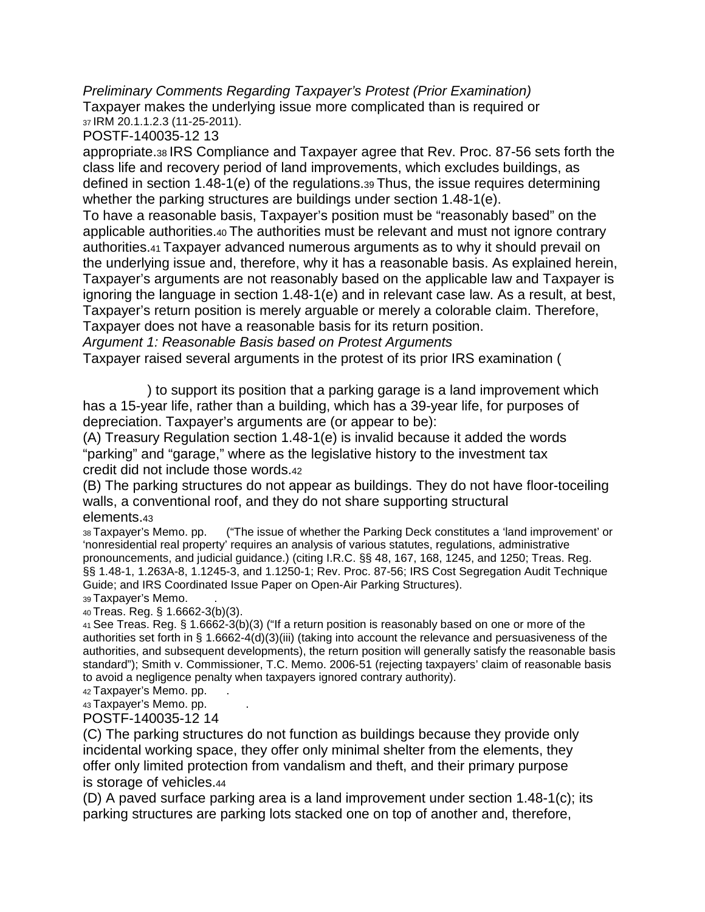*Preliminary Comments Regarding Taxpayer's Protest (Prior Examination)* Taxpayer makes the underlying issue more complicated than is required or 37 IRM 20.1.1.2.3 (11-25-2011).

POSTF-140035-12 13

appropriate.38 IRS Compliance and Taxpayer agree that Rev. Proc. 87-56 sets forth the class life and recovery period of land improvements, which excludes buildings, as defined in section 1.48-1(e) of the regulations.39 Thus, the issue requires determining whether the parking structures are buildings under section 1.48-1(e).

To have a reasonable basis, Taxpayer's position must be "reasonably based" on the applicable authorities.40 The authorities must be relevant and must not ignore contrary authorities.41 Taxpayer advanced numerous arguments as to why it should prevail on the underlying issue and, therefore, why it has a reasonable basis. As explained herein, Taxpayer's arguments are not reasonably based on the applicable law and Taxpayer is ignoring the language in section 1.48-1(e) and in relevant case law. As a result, at best, Taxpayer's return position is merely arguable or merely a colorable claim. Therefore, Taxpayer does not have a reasonable basis for its return position.

*Argument 1: Reasonable Basis based on Protest Arguments*

Taxpayer raised several arguments in the protest of its prior IRS examination (

) to support its position that a parking garage is a land improvement which has a 15-year life, rather than a building, which has a 39-year life, for purposes of depreciation. Taxpayer's arguments are (or appear to be):

(A) Treasury Regulation section 1.48-1(e) is invalid because it added the words "parking" and "garage," where as the legislative history to the investment tax credit did not include those words.42

(B) The parking structures do not appear as buildings. They do not have floor-toceiling walls, a conventional roof, and they do not share supporting structural elements.43<br>38 Taxpayer's Memo. pp.

("The issue of whether the Parking Deck constitutes a 'land improvement' or 'nonresidential real property' requires an analysis of various statutes, regulations, administrative pronouncements, and judicial guidance.) (citing I.R.C. §§ 48, 167, 168, 1245, and 1250; Treas. Reg. §§ 1.48-1, 1.263A-8, 1.1245-3, and 1.1250-1; Rev. Proc. 87-56; IRS Cost Segregation Audit Technique Guide; and IRS Coordinated Issue Paper on Open-Air Parking Structures). 39 Taxpayer's Memo.

40 Treas. Reg. § 1.6662-3(b)(3).

41 See Treas. Reg. § 1.6662-3(b)(3) ("If a return position is reasonably based on one or more of the authorities set forth in § 1.6662-4(d)(3)(iii) (taking into account the relevance and persuasiveness of the authorities, and subsequent developments), the return position will generally satisfy the reasonable basis standard"); Smith v. Commissioner, T.C. Memo. 2006-51 (rejecting taxpayers' claim of reasonable basis to avoid a negligence penalty when taxpayers ignored contrary authority).

42 Taxpayer's Memo. pp.

43 Taxpayer's Memo. pp.

POSTF-140035-12 14

(C) The parking structures do not function as buildings because they provide only incidental working space, they offer only minimal shelter from the elements, they offer only limited protection from vandalism and theft, and their primary purpose is storage of vehicles.44

(D) A paved surface parking area is a land improvement under section 1.48-1(c); its parking structures are parking lots stacked one on top of another and, therefore,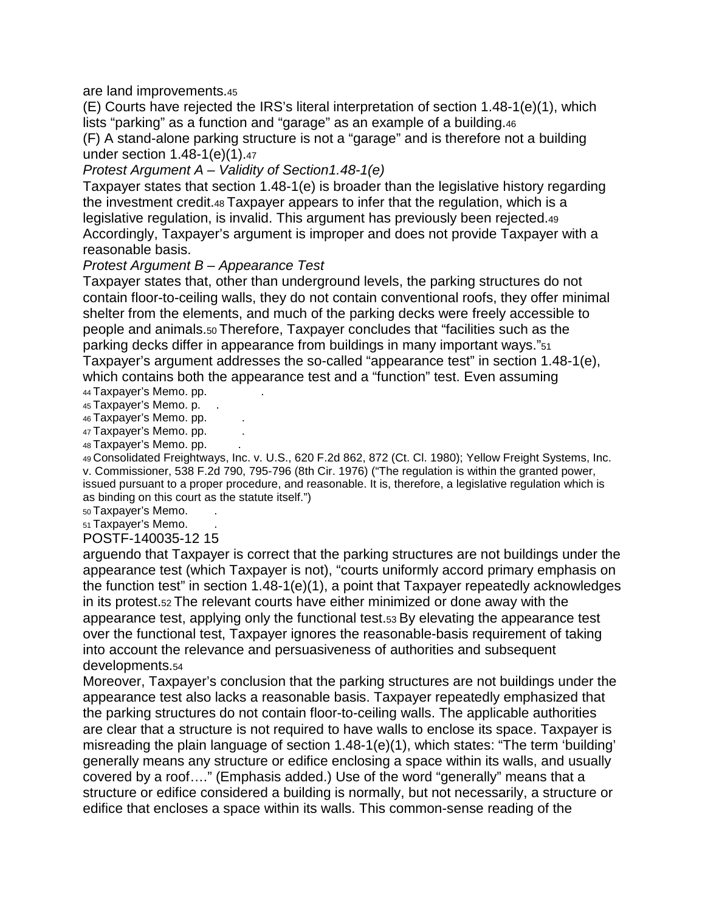are land improvements.45

(E) Courts have rejected the IRS's literal interpretation of section 1.48-1(e)(1), which lists "parking" as a function and "garage" as an example of a building.46

(F) A stand-alone parking structure is not a "garage" and is therefore not a building under section 1.48-1(e)(1).47

#### *Protest Argument A – Validity of Section1.48-1(e)*

Taxpayer states that section 1.48-1(e) is broader than the legislative history regarding the investment credit.48 Taxpayer appears to infer that the regulation, which is a legislative regulation, is invalid. This argument has previously been rejected.49 Accordingly, Taxpayer's argument is improper and does not provide Taxpayer with a reasonable basis.

#### *Protest Argument B – Appearance Test*

Taxpayer states that, other than underground levels, the parking structures do not contain floor-to-ceiling walls, they do not contain conventional roofs, they offer minimal shelter from the elements, and much of the parking decks were freely accessible to people and animals.50 Therefore, Taxpayer concludes that "facilities such as the parking decks differ in appearance from buildings in many important ways."51 Taxpayer's argument addresses the so-called "appearance test" in section 1.48-1(e), which contains both the appearance test and a "function" test. Even assuming

- 44 Taxpayer's Memo. pp. 45 Taxpayer's Memo. p. .
- 46 Taxpayer's Memo. pp.
- 47 Taxpayer's Memo. pp.
- 48 Taxpayer's Memo. pp.

49 Consolidated Freightways, Inc. v. U.S., 620 F.2d 862, 872 (Ct. Cl. 1980); Yellow Freight Systems, Inc. v. Commissioner, 538 F.2d 790, 795-796 (8th Cir. 1976) ("The regulation is within the granted power, issued pursuant to a proper procedure, and reasonable. It is, therefore, a legislative regulation which is as binding on this court as the statute itself.")

50 Taxpayer's Memo.

51 Taxpayer's Memo.

POSTF-140035-12 15

arguendo that Taxpayer is correct that the parking structures are not buildings under the appearance test (which Taxpayer is not), "courts uniformly accord primary emphasis on the function test" in section 1.48-1(e)(1), a point that Taxpayer repeatedly acknowledges in its protest.52 The relevant courts have either minimized or done away with the appearance test, applying only the functional test.53 By elevating the appearance test over the functional test, Taxpayer ignores the reasonable-basis requirement of taking into account the relevance and persuasiveness of authorities and subsequent developments.54

Moreover, Taxpayer's conclusion that the parking structures are not buildings under the appearance test also lacks a reasonable basis. Taxpayer repeatedly emphasized that the parking structures do not contain floor-to-ceiling walls. The applicable authorities are clear that a structure is not required to have walls to enclose its space. Taxpayer is misreading the plain language of section 1.48-1(e)(1), which states: "The term 'building' generally means any structure or edifice enclosing a space within its walls, and usually covered by a roof…." (Emphasis added.) Use of the word "generally" means that a structure or edifice considered a building is normally, but not necessarily, a structure or edifice that encloses a space within its walls. This common-sense reading of the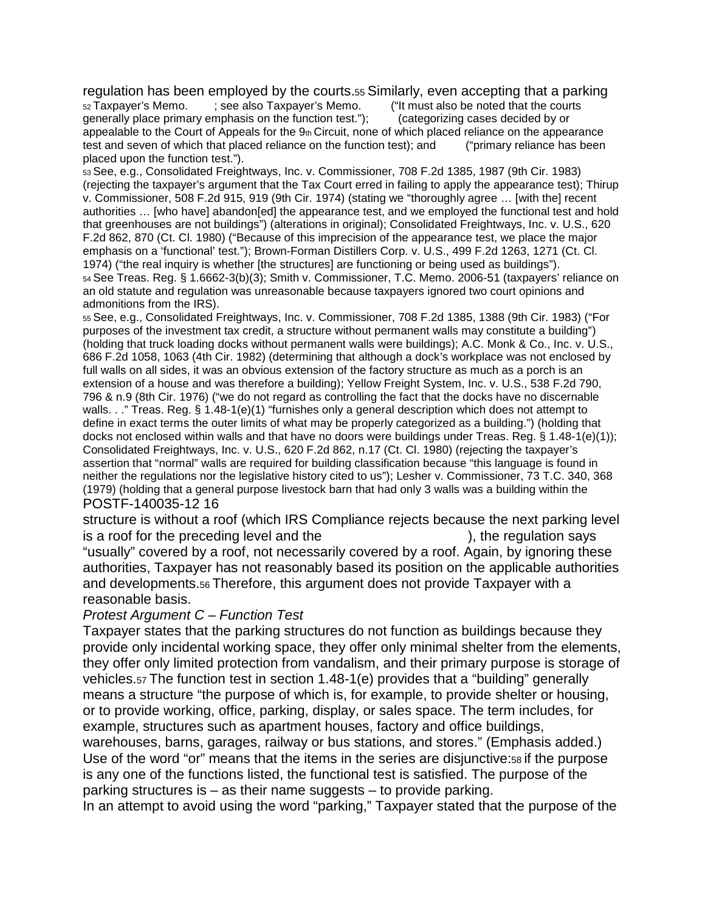regulation has been employed by the courts.55 Similarly, even accepting that a parking<br>52 Taxpayer's Memo. Fee also Taxpayer's Memo. ("It must also be noted that the courts 52 Taxpayer's Memo. ; see also Taxpayer's Memo. ("It must also be noted that the courts generally place primary emphasis on the function test."): (categorizing cases decided by or appealable to the Court of Appeals for the  $9<sub>th</sub>$  Circuit, none of which placed reliance on the appearance test and seven of which that placed reliance on the function test); and ("primary reliance has been placed upon the function test.").

53 See, e.g., Consolidated Freightways, Inc. v. Commissioner, 708 F.2d 1385, 1987 (9th Cir. 1983) (rejecting the taxpayer's argument that the Tax Court erred in failing to apply the appearance test); Thirup v. Commissioner, 508 F.2d 915, 919 (9th Cir. 1974) (stating we "thoroughly agree … [with the] recent authorities … [who have] abandon[ed] the appearance test, and we employed the functional test and hold that greenhouses are not buildings") (alterations in original); Consolidated Freightways, Inc. v. U.S., 620 F.2d 862, 870 (Ct. Cl. 1980) ("Because of this imprecision of the appearance test, we place the major emphasis on a 'functional' test."); Brown-Forman Distillers Corp. v. U.S., 499 F.2d 1263, 1271 (Ct. Cl. 1974) ("the real inquiry is whether [the structures] are functioning or being used as buildings"). 54 See Treas. Reg. § 1.6662-3(b)(3); Smith v. Commissioner, T.C. Memo. 2006-51 (taxpayers' reliance on an old statute and regulation was unreasonable because taxpayers ignored two court opinions and admonitions from the IRS).

55 See, e.g., Consolidated Freightways, Inc. v. Commissioner, 708 F.2d 1385, 1388 (9th Cir. 1983) ("For purposes of the investment tax credit, a structure without permanent walls may constitute a building") (holding that truck loading docks without permanent walls were buildings); A.C. Monk & Co., Inc. v. U.S., 686 F.2d 1058, 1063 (4th Cir. 1982) (determining that although a dock's workplace was not enclosed by full walls on all sides, it was an obvious extension of the factory structure as much as a porch is an extension of a house and was therefore a building); Yellow Freight System, Inc. v. U.S., 538 F.2d 790, 796 & n.9 (8th Cir. 1976) ("we do not regard as controlling the fact that the docks have no discernable walls. . ." Treas. Reg. § 1.48-1(e)(1) "furnishes only a general description which does not attempt to define in exact terms the outer limits of what may be properly categorized as a building.") (holding that docks not enclosed within walls and that have no doors were buildings under Treas. Reg. § 1.48-1(e)(1)); Consolidated Freightways, Inc. v. U.S., 620 F.2d 862, n.17 (Ct. Cl. 1980) (rejecting the taxpayer's assertion that "normal" walls are required for building classification because "this language is found in neither the regulations nor the legislative history cited to us"); Lesher v. Commissioner, 73 T.C. 340, 368 (1979) (holding that a general purpose livestock barn that had only 3 walls was a building within the POSTF-140035-12 16

structure is without a roof (which IRS Compliance rejects because the next parking level is a roof for the preceding level and the -------------------------------), the regulation says "usually" covered by a roof, not necessarily covered by a roof. Again, by ignoring these authorities, Taxpayer has not reasonably based its position on the applicable authorities and developments.56 Therefore, this argument does not provide Taxpayer with a reasonable basis.

#### *Protest Argument C – Function Test*

Taxpayer states that the parking structures do not function as buildings because they provide only incidental working space, they offer only minimal shelter from the elements, they offer only limited protection from vandalism, and their primary purpose is storage of vehicles.57 The function test in section 1.48-1(e) provides that a "building" generally means a structure "the purpose of which is, for example, to provide shelter or housing, or to provide working, office, parking, display, or sales space. The term includes, for example, structures such as apartment houses, factory and office buildings,

warehouses, barns, garages, railway or bus stations, and stores." (Emphasis added.) Use of the word "or" means that the items in the series are disjunctive:<sup>58</sup> if the purpose is any one of the functions listed, the functional test is satisfied. The purpose of the parking structures is – as their name suggests – to provide parking.

In an attempt to avoid using the word "parking," Taxpayer stated that the purpose of the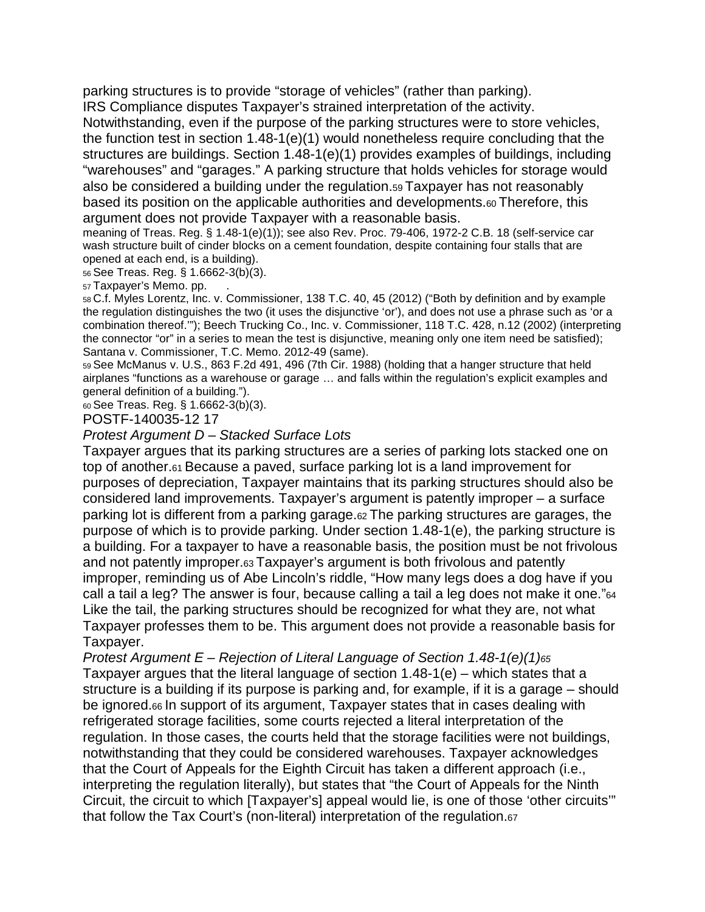parking structures is to provide "storage of vehicles" (rather than parking). IRS Compliance disputes Taxpayer's strained interpretation of the activity.

Notwithstanding, even if the purpose of the parking structures were to store vehicles, the function test in section  $1.48-1(e)(1)$  would nonetheless require concluding that the structures are buildings. Section 1.48-1(e)(1) provides examples of buildings, including "warehouses" and "garages." A parking structure that holds vehicles for storage would also be considered a building under the regulation.59 Taxpayer has not reasonably based its position on the applicable authorities and developments.60 Therefore, this argument does not provide Taxpayer with a reasonable basis.

meaning of Treas. Reg. § 1.48-1(e)(1)); see also Rev. Proc. 79-406, 1972-2 C.B. 18 (self-service car wash structure built of cinder blocks on a cement foundation, despite containing four stalls that are opened at each end, is a building).

56 See Treas. Reg. § 1.6662-3(b)(3).

57 Taxpayer's Memo. pp.

58 C.f. Myles Lorentz, Inc. v. Commissioner, 138 T.C. 40, 45 (2012) ("Both by definition and by example the regulation distinguishes the two (it uses the disjunctive 'or'), and does not use a phrase such as 'or a combination thereof.'"); Beech Trucking Co., Inc. v. Commissioner, 118 T.C. 428, n.12 (2002) (interpreting the connector "or" in a series to mean the test is disjunctive, meaning only one item need be satisfied); Santana v. Commissioner, T.C. Memo. 2012-49 (same).

59 See McManus v. U.S., 863 F.2d 491, 496 (7th Cir. 1988) (holding that a hanger structure that held airplanes "functions as a warehouse or garage … and falls within the regulation's explicit examples and general definition of a building.").

60 See Treas. Reg. § 1.6662-3(b)(3).

POSTF-140035-12 17

*Protest Argument D – Stacked Surface Lots*

Taxpayer argues that its parking structures are a series of parking lots stacked one on top of another.61 Because a paved, surface parking lot is a land improvement for purposes of depreciation, Taxpayer maintains that its parking structures should also be considered land improvements. Taxpayer's argument is patently improper – a surface parking lot is different from a parking garage.62 The parking structures are garages, the purpose of which is to provide parking. Under section 1.48-1(e), the parking structure is a building. For a taxpayer to have a reasonable basis, the position must be not frivolous and not patently improper.63 Taxpayer's argument is both frivolous and patently improper, reminding us of Abe Lincoln's riddle, "How many legs does a dog have if you call a tail a leg? The answer is four, because calling a tail a leg does not make it one."64 Like the tail, the parking structures should be recognized for what they are, not what Taxpayer professes them to be. This argument does not provide a reasonable basis for Taxpayer.

*Protest Argument E – Rejection of Literal Language of Section 1.48-1(e)(1)65* Taxpayer argues that the literal language of section 1.48-1(e) – which states that a structure is a building if its purpose is parking and, for example, if it is a garage – should be ignored.66 In support of its argument, Taxpayer states that in cases dealing with refrigerated storage facilities, some courts rejected a literal interpretation of the regulation. In those cases, the courts held that the storage facilities were not buildings, notwithstanding that they could be considered warehouses. Taxpayer acknowledges that the Court of Appeals for the Eighth Circuit has taken a different approach (i.e., interpreting the regulation literally), but states that "the Court of Appeals for the Ninth Circuit, the circuit to which [Taxpayer's] appeal would lie, is one of those 'other circuits'" that follow the Tax Court's (non-literal) interpretation of the regulation.67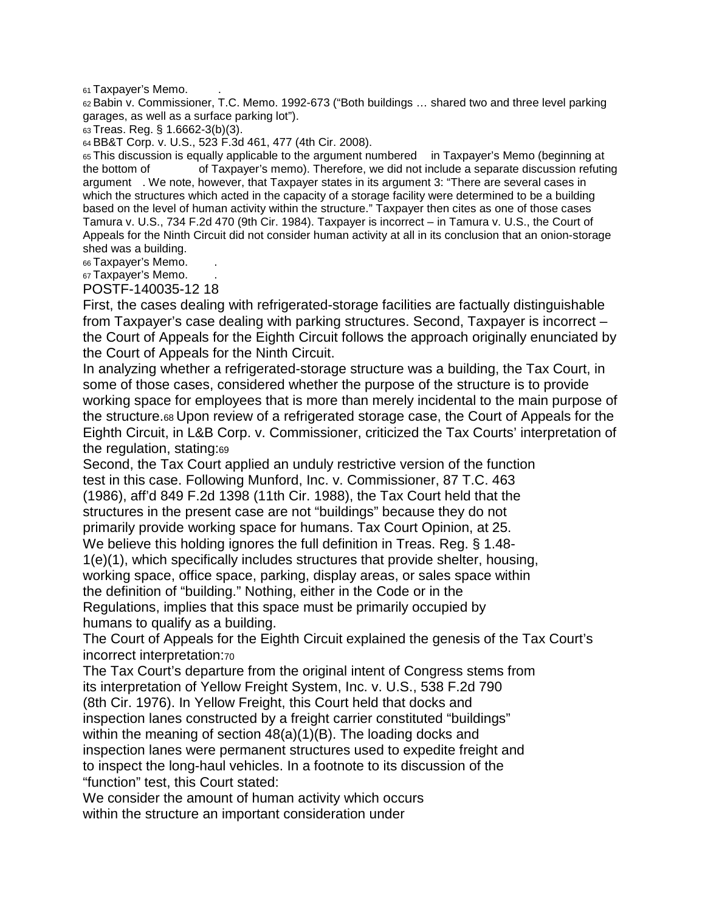#### 61 Taxpayer's Memo.

62 Babin v. Commissioner, T.C. Memo. 1992-673 ("Both buildings ... shared two and three level parking garages, as well as a surface parking lot").

63 Treas. Reg. § 1.6662-3(b)(3).

64 BB&T Corp. v. U.S., 523 F.3d 461, 477 (4th Cir. 2008).

65 This discussion is equally applicable to the argument numbered in Taxpayer's Memo (beginning at the bottom of ----------- of Taxpayer's memo). Therefore, we did not include a separate discussion refuting argument . We note, however, that Taxpayer states in its argument 3: "There are several cases in which the structures which acted in the capacity of a storage facility were determined to be a building based on the level of human activity within the structure." Taxpayer then cites as one of those cases Tamura v. U.S., 734 F.2d 470 (9th Cir. 1984). Taxpayer is incorrect – in Tamura v. U.S., the Court of Appeals for the Ninth Circuit did not consider human activity at all in its conclusion that an onion-storage shed was a building.

66 Taxpayer's Memo.

67 Taxpayer's Memo.

POSTF-140035-12 18

First, the cases dealing with refrigerated-storage facilities are factually distinguishable from Taxpayer's case dealing with parking structures. Second, Taxpayer is incorrect – the Court of Appeals for the Eighth Circuit follows the approach originally enunciated by the Court of Appeals for the Ninth Circuit.

In analyzing whether a refrigerated-storage structure was a building, the Tax Court, in some of those cases, considered whether the purpose of the structure is to provide working space for employees that is more than merely incidental to the main purpose of the structure.68 Upon review of a refrigerated storage case, the Court of Appeals for the Eighth Circuit, in L&B Corp. v. Commissioner, criticized the Tax Courts' interpretation of the regulation, stating:69

Second, the Tax Court applied an unduly restrictive version of the function test in this case. Following Munford, Inc. v. Commissioner, 87 T.C. 463 (1986), aff'd 849 F.2d 1398 (11th Cir. 1988), the Tax Court held that the structures in the present case are not "buildings" because they do not primarily provide working space for humans. Tax Court Opinion, at 25. We believe this holding ignores the full definition in Treas. Reg. § 1.48- 1(e)(1), which specifically includes structures that provide shelter, housing, working space, office space, parking, display areas, or sales space within the definition of "building." Nothing, either in the Code or in the Regulations, implies that this space must be primarily occupied by humans to qualify as a building.

The Court of Appeals for the Eighth Circuit explained the genesis of the Tax Court's incorrect interpretation:70

The Tax Court's departure from the original intent of Congress stems from its interpretation of Yellow Freight System, Inc. v. U.S., 538 F.2d 790 (8th Cir. 1976). In Yellow Freight, this Court held that docks and inspection lanes constructed by a freight carrier constituted "buildings" within the meaning of section 48(a)(1)(B). The loading docks and inspection lanes were permanent structures used to expedite freight and to inspect the long-haul vehicles. In a footnote to its discussion of the "function" test, this Court stated:

We consider the amount of human activity which occurs within the structure an important consideration under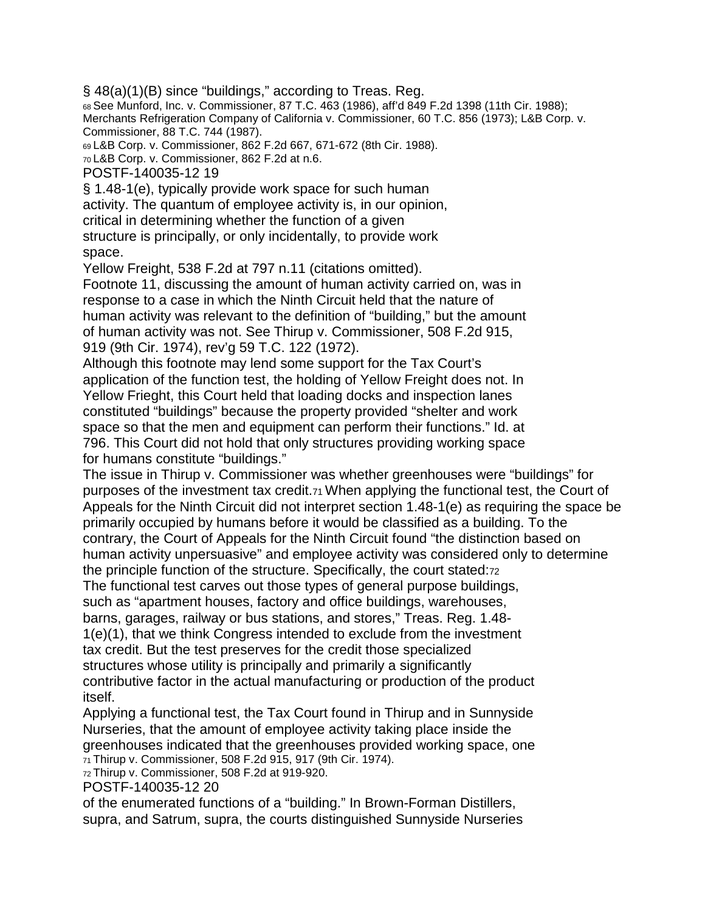§ 48(a)(1)(B) since "buildings," according to Treas. Reg.

68 See Munford, Inc. v. Commissioner, 87 T.C. 463 (1986), aff'd 849 F.2d 1398 (11th Cir. 1988); Merchants Refrigeration Company of California v. Commissioner, 60 T.C. 856 (1973); L&B Corp. v. Commissioner, 88 T.C. 744 (1987).

69 L&B Corp. v. Commissioner, 862 F.2d 667, 671-672 (8th Cir. 1988).

70 L&B Corp. v. Commissioner, 862 F.2d at n.6.

POSTF-140035-12 19

§ 1.48-1(e), typically provide work space for such human activity. The quantum of employee activity is, in our opinion, critical in determining whether the function of a given structure is principally, or only incidentally, to provide work space.

Yellow Freight, 538 F.2d at 797 n.11 (citations omitted).

Footnote 11, discussing the amount of human activity carried on, was in response to a case in which the Ninth Circuit held that the nature of human activity was relevant to the definition of "building," but the amount of human activity was not. See Thirup v. Commissioner, 508 F.2d 915, 919 (9th Cir. 1974), rev'g 59 T.C. 122 (1972).

Although this footnote may lend some support for the Tax Court's application of the function test, the holding of Yellow Freight does not. In Yellow Frieght, this Court held that loading docks and inspection lanes constituted "buildings" because the property provided "shelter and work space so that the men and equipment can perform their functions." Id. at 796. This Court did not hold that only structures providing working space for humans constitute "buildings."

The issue in Thirup v. Commissioner was whether greenhouses were "buildings" for purposes of the investment tax credit.71 When applying the functional test, the Court of Appeals for the Ninth Circuit did not interpret section 1.48-1(e) as requiring the space be primarily occupied by humans before it would be classified as a building. To the contrary, the Court of Appeals for the Ninth Circuit found "the distinction based on human activity unpersuasive" and employee activity was considered only to determine the principle function of the structure. Specifically, the court stated:72 The functional test carves out those types of general purpose buildings, such as "apartment houses, factory and office buildings, warehouses, barns, garages, railway or bus stations, and stores," Treas. Reg. 1.48-

1(e)(1), that we think Congress intended to exclude from the investment tax credit. But the test preserves for the credit those specialized structures whose utility is principally and primarily a significantly contributive factor in the actual manufacturing or production of the product itself.

Applying a functional test, the Tax Court found in Thirup and in Sunnyside Nurseries, that the amount of employee activity taking place inside the greenhouses indicated that the greenhouses provided working space, one 71 Thirup v. Commissioner, 508 F.2d 915, 917 (9th Cir. 1974).

72 Thirup v. Commissioner, 508 F.2d at 919-920.

POSTF-140035-12 20

of the enumerated functions of a "building." In Brown-Forman Distillers, supra, and Satrum, supra, the courts distinguished Sunnyside Nurseries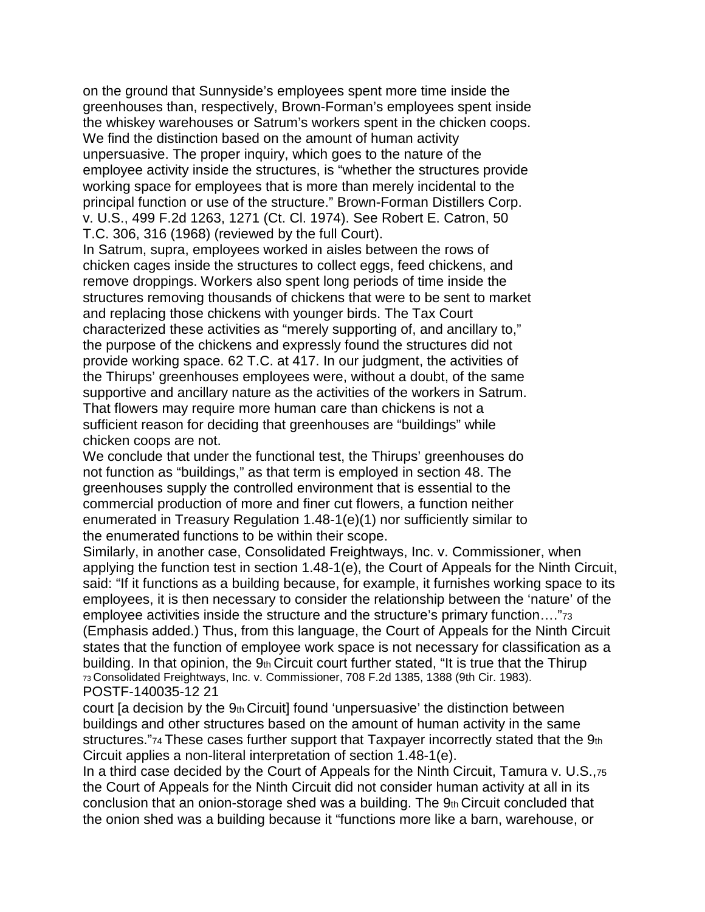on the ground that Sunnyside's employees spent more time inside the greenhouses than, respectively, Brown-Forman's employees spent inside the whiskey warehouses or Satrum's workers spent in the chicken coops. We find the distinction based on the amount of human activity unpersuasive. The proper inquiry, which goes to the nature of the employee activity inside the structures, is "whether the structures provide working space for employees that is more than merely incidental to the principal function or use of the structure." Brown-Forman Distillers Corp. v. U.S., 499 F.2d 1263, 1271 (Ct. Cl. 1974). See Robert E. Catron, 50 T.C. 306, 316 (1968) (reviewed by the full Court).

In Satrum, supra, employees worked in aisles between the rows of chicken cages inside the structures to collect eggs, feed chickens, and remove droppings. Workers also spent long periods of time inside the structures removing thousands of chickens that were to be sent to market and replacing those chickens with younger birds. The Tax Court characterized these activities as "merely supporting of, and ancillary to," the purpose of the chickens and expressly found the structures did not provide working space. 62 T.C. at 417. In our judgment, the activities of the Thirups' greenhouses employees were, without a doubt, of the same supportive and ancillary nature as the activities of the workers in Satrum. That flowers may require more human care than chickens is not a sufficient reason for deciding that greenhouses are "buildings" while chicken coops are not.

We conclude that under the functional test, the Thirups' greenhouses do not function as "buildings," as that term is employed in section 48. The greenhouses supply the controlled environment that is essential to the commercial production of more and finer cut flowers, a function neither enumerated in Treasury Regulation 1.48-1(e)(1) nor sufficiently similar to the enumerated functions to be within their scope.

Similarly, in another case, Consolidated Freightways, Inc. v. Commissioner, when applying the function test in section 1.48-1(e), the Court of Appeals for the Ninth Circuit, said: "If it functions as a building because, for example, it furnishes working space to its employees, it is then necessary to consider the relationship between the 'nature' of the employee activities inside the structure and the structure's primary function…."73 (Emphasis added.) Thus, from this language, the Court of Appeals for the Ninth Circuit states that the function of employee work space is not necessary for classification as a building. In that opinion, the 9th Circuit court further stated, "It is true that the Thirup 73 Consolidated Freightways, Inc. v. Commissioner, 708 F.2d 1385, 1388 (9th Cir. 1983). POSTF-140035-12 21

court [a decision by the 9th Circuit] found 'unpersuasive' the distinction between buildings and other structures based on the amount of human activity in the same structures."74 These cases further support that Taxpayer incorrectly stated that the 9th Circuit applies a non-literal interpretation of section 1.48-1(e).

In a third case decided by the Court of Appeals for the Ninth Circuit, Tamura v. U.S.,75 the Court of Appeals for the Ninth Circuit did not consider human activity at all in its conclusion that an onion-storage shed was a building. The  $9<sub>th</sub>$  Circuit concluded that the onion shed was a building because it "functions more like a barn, warehouse, or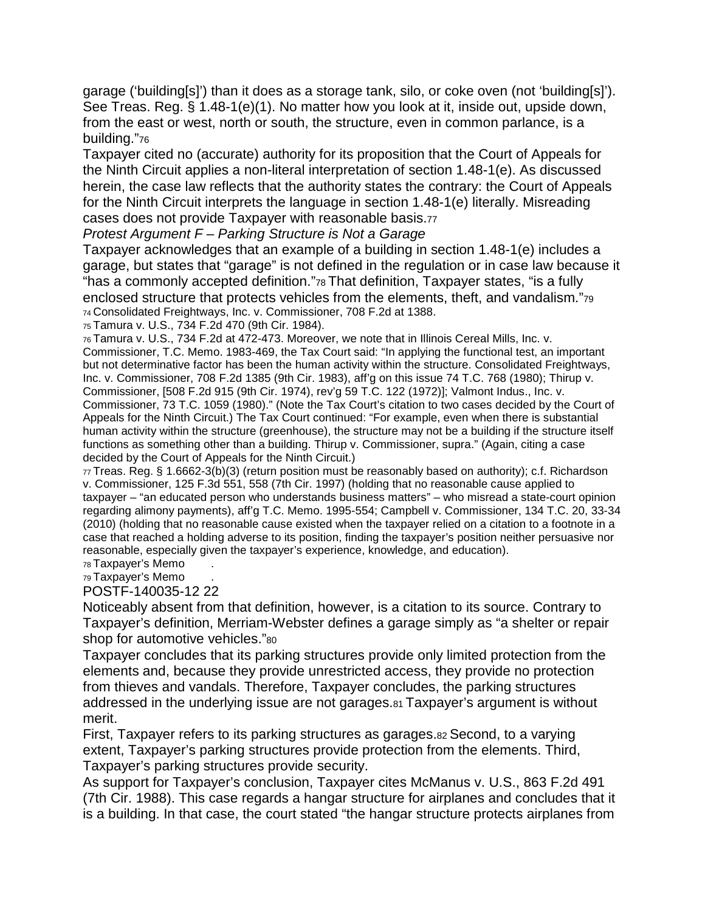garage ('building[s]') than it does as a storage tank, silo, or coke oven (not 'building[s]'). See Treas. Reg. § 1.48-1(e)(1). No matter how you look at it, inside out, upside down, from the east or west, north or south, the structure, even in common parlance, is a building."76

Taxpayer cited no (accurate) authority for its proposition that the Court of Appeals for the Ninth Circuit applies a non-literal interpretation of section 1.48-1(e). As discussed herein, the case law reflects that the authority states the contrary: the Court of Appeals for the Ninth Circuit interprets the language in section 1.48-1(e) literally. Misreading cases does not provide Taxpayer with reasonable basis.77

#### *Protest Argument F – Parking Structure is Not a Garage*

Taxpayer acknowledges that an example of a building in section 1.48-1(e) includes a garage, but states that "garage" is not defined in the regulation or in case law because it "has a commonly accepted definition."78 That definition, Taxpayer states, "is a fully enclosed structure that protects vehicles from the elements, theft, and vandalism."79 74 Consolidated Freightways, Inc. v. Commissioner, 708 F.2d at 1388.

75 Tamura v. U.S., 734 F.2d 470 (9th Cir. 1984).

76 Tamura v. U.S., 734 F.2d at 472-473. Moreover, we note that in Illinois Cereal Mills, Inc. v. Commissioner, T.C. Memo. 1983-469, the Tax Court said: "In applying the functional test, an important but not determinative factor has been the human activity within the structure. Consolidated Freightways, Inc. v. Commissioner, 708 F.2d 1385 (9th Cir. 1983), aff'g on this issue 74 T.C. 768 (1980); Thirup v. Commissioner, [508 F.2d 915 (9th Cir. 1974), rev'g 59 T.C. 122 (1972)]; Valmont Indus., Inc. v. Commissioner, 73 T.C. 1059 (1980)." (Note the Tax Court's citation to two cases decided by the Court of Appeals for the Ninth Circuit.) The Tax Court continued: "For example, even when there is substantial human activity within the structure (greenhouse), the structure may not be a building if the structure itself functions as something other than a building. Thirup v. Commissioner, supra." (Again, citing a case decided by the Court of Appeals for the Ninth Circuit.)

77 Treas. Reg. § 1.6662-3(b)(3) (return position must be reasonably based on authority); c.f. Richardson v. Commissioner, 125 F.3d 551, 558 (7th Cir. 1997) (holding that no reasonable cause applied to taxpayer – "an educated person who understands business matters" – who misread a state-court opinion regarding alimony payments), aff'g T.C. Memo. 1995-554; Campbell v. Commissioner, 134 T.C. 20, 33-34 (2010) (holding that no reasonable cause existed when the taxpayer relied on a citation to a footnote in a case that reached a holding adverse to its position, finding the taxpayer's position neither persuasive nor reasonable, especially given the taxpayer's experience, knowledge, and education).

78 Taxpayer's Memo

79 Taxpayer's Memo POSTF-140035-12 22

Noticeably absent from that definition, however, is a citation to its source. Contrary to Taxpayer's definition, Merriam-Webster defines a garage simply as "a shelter or repair shop for automotive vehicles."80

Taxpayer concludes that its parking structures provide only limited protection from the elements and, because they provide unrestricted access, they provide no protection from thieves and vandals. Therefore, Taxpayer concludes, the parking structures addressed in the underlying issue are not garages.81 Taxpayer's argument is without merit.

First, Taxpayer refers to its parking structures as garages.82 Second, to a varying extent, Taxpayer's parking structures provide protection from the elements. Third, Taxpayer's parking structures provide security.

As support for Taxpayer's conclusion, Taxpayer cites McManus v. U.S., 863 F.2d 491 (7th Cir. 1988). This case regards a hangar structure for airplanes and concludes that it is a building. In that case, the court stated "the hangar structure protects airplanes from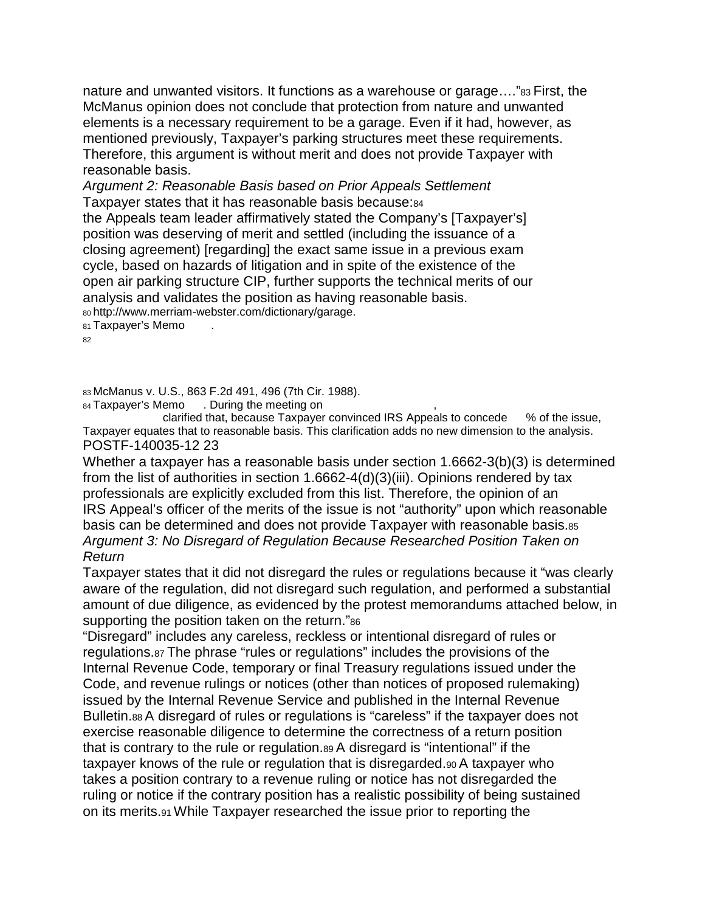nature and unwanted visitors. It functions as a warehouse or garage...."<sup>83</sup> First, the McManus opinion does not conclude that protection from nature and unwanted elements is a necessary requirement to be a garage. Even if it had, however, as mentioned previously, Taxpayer's parking structures meet these requirements. Therefore, this argument is without merit and does not provide Taxpayer with reasonable basis.

*Argument 2: Reasonable Basis based on Prior Appeals Settlement* Taxpayer states that it has reasonable basis because:84 the Appeals team leader affirmatively stated the Company's [Taxpayer's] position was deserving of merit and settled (including the issuance of a closing agreement) [regarding] the exact same issue in a previous exam cycle, based on hazards of litigation and in spite of the existence of the open air parking structure CIP, further supports the technical merits of our analysis and validates the position as having reasonable basis. 80 http://www.merriam-webster.com/dictionary/garage.

81 Taxpayer's Memo

82 ---------------------------------------------------------------------------------------------------------------------------------------

83 McManus v. U.S., 863 F.2d 491, 496 (7th Cir. 1988).

84 Taxpayer's Memo . During the meeting on exactled that, because Taxpayer convinced IRS Appeals to concede % of the issue, clarified that, because Taxpayer convinced IRS Appeals to concede Taxpayer equates that to reasonable basis. This clarification adds no new dimension to the analysis. POSTF-140035-12 23

Whether a taxpayer has a reasonable basis under section 1.6662-3(b)(3) is determined from the list of authorities in section 1.6662-4(d)(3)(iii). Opinions rendered by tax professionals are explicitly excluded from this list. Therefore, the opinion of an IRS Appeal's officer of the merits of the issue is not "authority" upon which reasonable basis can be determined and does not provide Taxpayer with reasonable basis.85 *Argument 3: No Disregard of Regulation Because Researched Position Taken on Return*

Taxpayer states that it did not disregard the rules or regulations because it "was clearly aware of the regulation, did not disregard such regulation, and performed a substantial amount of due diligence, as evidenced by the protest memorandums attached below, in supporting the position taken on the return."86

"Disregard" includes any careless, reckless or intentional disregard of rules or regulations.87 The phrase "rules or regulations" includes the provisions of the Internal Revenue Code, temporary or final Treasury regulations issued under the Code, and revenue rulings or notices (other than notices of proposed rulemaking) issued by the Internal Revenue Service and published in the Internal Revenue Bulletin.88 A disregard of rules or regulations is "careless" if the taxpayer does not exercise reasonable diligence to determine the correctness of a return position that is contrary to the rule or regulation.89 A disregard is "intentional" if the taxpayer knows of the rule or regulation that is disregarded.90 A taxpayer who takes a position contrary to a revenue ruling or notice has not disregarded the ruling or notice if the contrary position has a realistic possibility of being sustained on its merits.91 While Taxpayer researched the issue prior to reporting the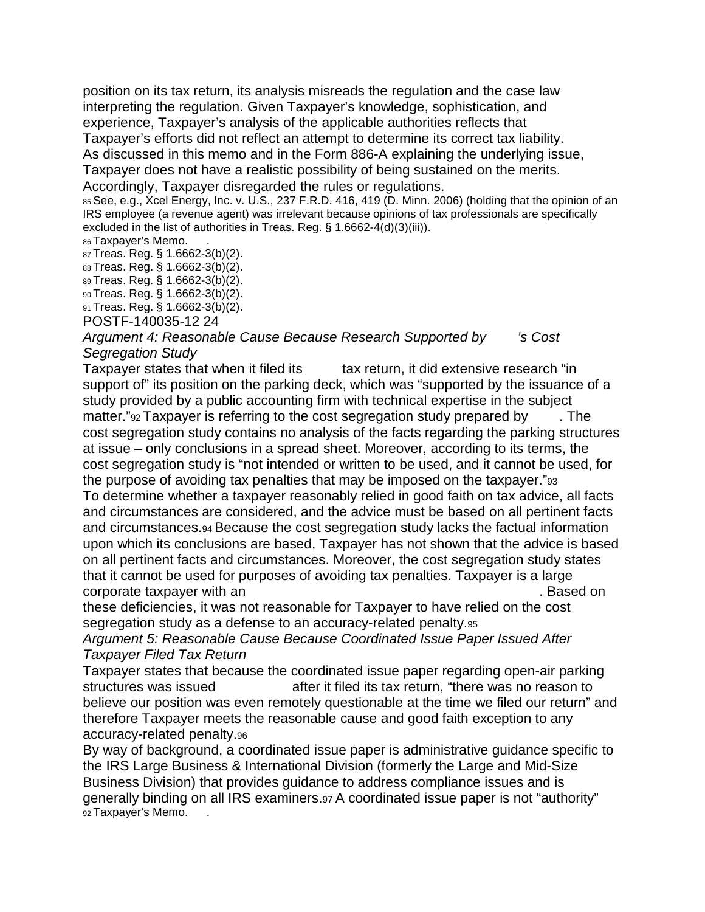position on its tax return, its analysis misreads the regulation and the case law interpreting the regulation. Given Taxpayer's knowledge, sophistication, and experience, Taxpayer's analysis of the applicable authorities reflects that Taxpayer's efforts did not reflect an attempt to determine its correct tax liability.

As discussed in this memo and in the Form 886-A explaining the underlying issue,

Taxpayer does not have a realistic possibility of being sustained on the merits. Accordingly, Taxpayer disregarded the rules or regulations.

85 See, e.g., Xcel Energy, Inc. v. U.S., 237 F.R.D. 416, 419 (D. Minn. 2006) (holding that the opinion of an IRS employee (a revenue agent) was irrelevant because opinions of tax professionals are specifically excluded in the list of authorities in Treas. Reg. § 1.6662-4(d)(3)(iii)).

86 Taxpayer's Memo.

87 Treas. Reg. § 1.6662-3(b)(2). 88 Treas. Reg. § 1.6662-3(b)(2).

89 Treas. Reg. § 1.6662-3(b)(2).

90 Treas. Reg. § 1.6662-3(b)(2).

91 Treas. Reg. § 1.6662-3(b)(2).

POSTF-140035-12 24

#### Argument 4: Reasonable Cause Because Research Supported by <sup>3</sup>s Cost *Segregation Study*

Taxpayer states that when it filed its tax return, it did extensive research "in support of" its position on the parking deck, which was "supported by the issuance of a study provided by a public accounting firm with technical expertise in the subject matter." $92$  Taxpayer is referring to the cost segregation study prepared by  $\qquad$ . The cost segregation study contains no analysis of the facts regarding the parking structures at issue – only conclusions in a spread sheet. Moreover, according to its terms, the cost segregation study is "not intended or written to be used, and it cannot be used, for the purpose of avoiding tax penalties that may be imposed on the taxpayer."93 To determine whether a taxpayer reasonably relied in good faith on tax advice, all facts and circumstances are considered, and the advice must be based on all pertinent facts and circumstances.94 Because the cost segregation study lacks the factual information upon which its conclusions are based, Taxpayer has not shown that the advice is based on all pertinent facts and circumstances. Moreover, the cost segregation study states that it cannot be used for purposes of avoiding tax penalties. Taxpayer is a large corporate taxpayer with an ---------------------------------------------------------------. Based on

these deficiencies, it was not reasonable for Taxpayer to have relied on the cost segregation study as a defense to an accuracy-related penalty.95

*Argument 5: Reasonable Cause Because Coordinated Issue Paper Issued After Taxpayer Filed Tax Return*

Taxpayer states that because the coordinated issue paper regarding open-air parking structures was issued  $\qquad \qquad$  after it filed its tax return, "there was no reason to believe our position was even remotely questionable at the time we filed our return" and therefore Taxpayer meets the reasonable cause and good faith exception to any accuracy-related penalty.96

By way of background, a coordinated issue paper is administrative guidance specific to the IRS Large Business & International Division (formerly the Large and Mid-Size Business Division) that provides guidance to address compliance issues and is generally binding on all IRS examiners.97 A coordinated issue paper is not "authority" 92 Taxpayer's Memo.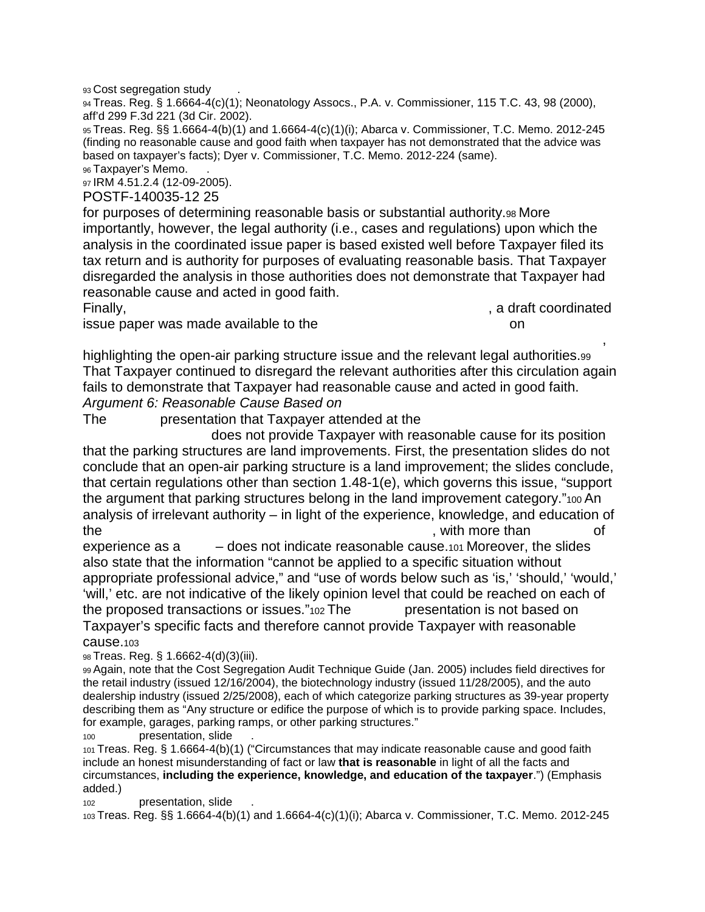93 Cost segregation study

94 Treas. Reg. § 1.6664-4(c)(1); Neonatology Assocs., P.A. v. Commissioner, 115 T.C. 43, 98 (2000), aff'd 299 F.3d 221 (3d Cir. 2002).

95 Treas. Reg. §§ 1.6664-4(b)(1) and 1.6664-4(c)(1)(i); Abarca v. Commissioner, T.C. Memo. 2012-245 (finding no reasonable cause and good faith when taxpayer has not demonstrated that the advice was based on taxpayer's facts); Dyer v. Commissioner, T.C. Memo. 2012-224 (same).

96 Taxpayer's Memo.

97 IRM 4.51.2.4 (12-09-2005).

POSTF-140035-12 25

for purposes of determining reasonable basis or substantial authority.98 More importantly, however, the legal authority (i.e., cases and regulations) upon which the analysis in the coordinated issue paper is based existed well before Taxpayer filed its tax return and is authority for purposes of evaluating reasonable basis. That Taxpayer disregarded the analysis in those authorities does not demonstrate that Taxpayer had reasonable cause and acted in good faith.

issue paper was made available to the ---------------------------------------- on --------------------

Finally, Finally, the state of the state of the state of the state of the state of the state of the state of the state of the state of the state of the state of the state of the state of the state of the state of the state

highlighting the open-air parking structure issue and the relevant legal authorities.99 That Taxpayer continued to disregard the relevant authorities after this circulation again fails to demonstrate that Taxpayer had reasonable cause and acted in good faith. Argument 6: Reasonable Cause Based on

 $\overline{\phantom{a}}$ 

The presentation that Taxpayer attended at the

does not provide Taxpayer with reasonable cause for its position that the parking structures are land improvements. First, the presentation slides do not conclude that an open-air parking structure is a land improvement; the slides conclude, that certain regulations other than section 1.48-1(e), which governs this issue, "support the argument that parking structures belong in the land improvement category."100 An analysis of irrelevant authority – in light of the experience, knowledge, and education of the results are set of the set of the set of the set of the set of the set of the set of the set of the set of

experience as a  $\blacksquare$  - does not indicate reasonable cause.<sub>101</sub> Moreover, the slides also state that the information "cannot be applied to a specific situation without appropriate professional advice," and "use of words below such as 'is,' 'should,' 'would,' 'will,' etc. are not indicative of the likely opinion level that could be reached on each of the proposed transactions or issues. $v_{102}$  The  $v_{102}$  presentation is not based on Taxpayer's specific facts and therefore cannot provide Taxpayer with reasonable cause.103

98 Treas. Reg. § 1.6662-4(d)(3)(iii).

99 Again, note that the Cost Segregation Audit Technique Guide (Jan. 2005) includes field directives for the retail industry (issued 12/16/2004), the biotechnology industry (issued 11/28/2005), and the auto dealership industry (issued 2/25/2008), each of which categorize parking structures as 39-year property describing them as "Any structure or edifice the purpose of which is to provide parking space. Includes, for example, garages, parking ramps, or other parking structures."

100 **presentation, slide** 

101 Treas. Reg. § 1.6664-4(b)(1) ("Circumstances that may indicate reasonable cause and good faith include an honest misunderstanding of fact or law **that is reasonable** in light of all the facts and circumstances, **including the experience, knowledge, and education of the taxpayer**.") (Emphasis added.)

102 presentation, slide

103 Treas. Reg. §§ 1.6664-4(b)(1) and 1.6664-4(c)(1)(i); Abarca v. Commissioner, T.C. Memo. 2012-245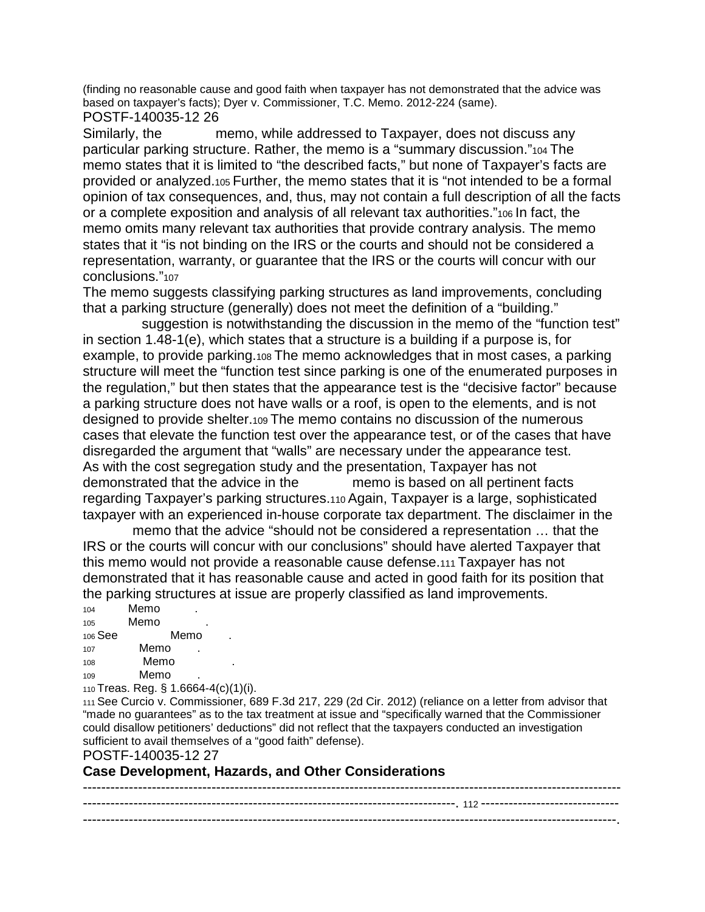(finding no reasonable cause and good faith when taxpayer has not demonstrated that the advice was based on taxpayer's facts); Dyer v. Commissioner, T.C. Memo. 2012-224 (same). POSTF-140035-12 26

Similarly, the memo, while addressed to Taxpayer, does not discuss any particular parking structure. Rather, the memo is a "summary discussion."104 The memo states that it is limited to "the described facts," but none of Taxpayer's facts are provided or analyzed.105 Further, the memo states that it is "not intended to be a formal opinion of tax consequences, and, thus, may not contain a full description of all the facts or a complete exposition and analysis of all relevant tax authorities."106 In fact, the memo omits many relevant tax authorities that provide contrary analysis. The memo states that it "is not binding on the IRS or the courts and should not be considered a representation, warranty, or guarantee that the IRS or the courts will concur with our conclusions."107

The memo suggests classifying parking structures as land improvements, concluding that a parking structure (generally) does not meet the definition of a "building."

suggestion is notwithstanding the discussion in the memo of the "function test" in section 1.48-1(e), which states that a structure is a building if a purpose is, for example, to provide parking.108 The memo acknowledges that in most cases, a parking structure will meet the "function test since parking is one of the enumerated purposes in the regulation," but then states that the appearance test is the "decisive factor" because a parking structure does not have walls or a roof, is open to the elements, and is not designed to provide shelter.109 The memo contains no discussion of the numerous cases that elevate the function test over the appearance test, or of the cases that have disregarded the argument that "walls" are necessary under the appearance test. As with the cost segregation study and the presentation, Taxpayer has not demonstrated that the advice in the  $\ldots$  memo is based on all pertinent facts regarding Taxpayer's parking structures.110 Again, Taxpayer is a large, sophisticated taxpayer with an experienced in-house corporate tax department. The disclaimer in the

memo that the advice "should not be considered a representation ... that the IRS or the courts will concur with our conclusions" should have alerted Taxpayer that this memo would not provide a reasonable cause defense.111 Taxpayer has not demonstrated that it has reasonable cause and acted in good faith for its position that the parking structures at issue are properly classified as land improvements.

| 104     | Memo       |          |  |  |  |
|---------|------------|----------|--|--|--|
| 105     | Memo       |          |  |  |  |
| 106 See |            | Memo     |  |  |  |
| 107     | Memo       |          |  |  |  |
| 108     | Memo       |          |  |  |  |
| 109     | Memo       |          |  |  |  |
|         | . <b>.</b> | 0.001111 |  |  |  |

110 Treas. Reg. § 1.6664-4(c)(1)(i).

111 See Curcio v. Commissioner, 689 F.3d 217, 229 (2d Cir. 2012) (reliance on a letter from advisor that "made no guarantees" as to the tax treatment at issue and "specifically warned that the Commissioner could disallow petitioners' deductions" did not reflect that the taxpayers conducted an investigation sufficient to avail themselves of a "good faith" defense).

POSTF-140035-12 27

**Case Development, Hazards, and Other Considerations**

--------------------------------------------------------------------------------------------------------------------- ---------------------------------------------------------------------------------. 112 ------------------------------ --------------------------------------------------------------------------------------------------------------------.